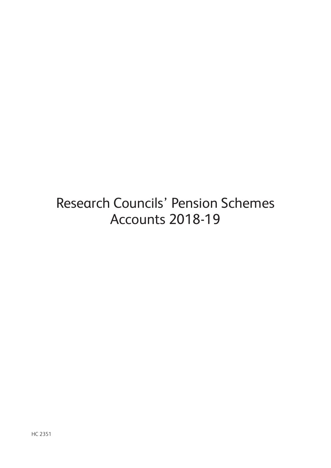Research Councils' Pension Schemes Accounts 2018-19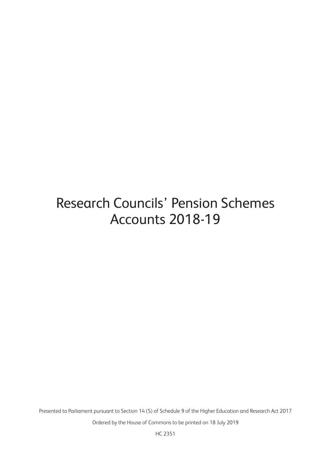# Research Councils' Pension Schemes Accounts 2018-19

Presented to Parliament pursuant to Section 14 (5) of Schedule 9 of the Higher Education and Research Act 2017

Ordered by the House of Commons to be printed on 18 July 2019

HC 2351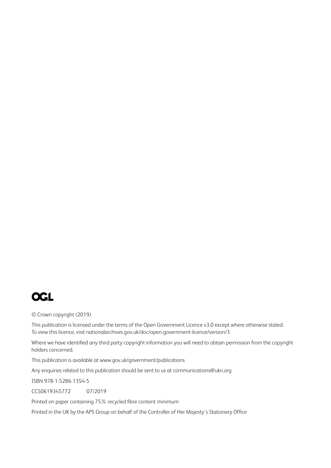

© Crown copyright (2019)

This publication is licensed under the terms of the Open Government Licence v3.0 except where otherwise stated. To view this licence, visit<nationalarchives.gov.uk/doc/open-government-licence/version/3>

Where we have identified any third party copyright information you will need to obtain permission from the copyright holders concerned.

This publication is available at <www.gov.uk/government/publications>

Any enquiries related to this publication should be sent to us at [communications@ukri.org](mailto:communications%40ukri.org?subject=communications%40ukri.org)

ISBN 978-1-5286-1354-5

CCS0619345772 07/2019

Printed on paper containing 75% recycled fibre content minimum

Printed in the UK by the APS Group on behalf of the Controller of Her Majesty's Stationery Office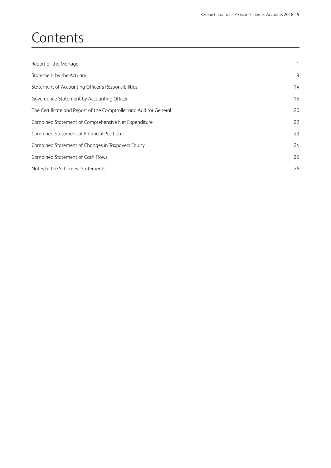# **Contents**

| Report of the Manager                                             | 1  |
|-------------------------------------------------------------------|----|
| Statement by the Actuary                                          | 9  |
| Statement of Accounting Officer's Responsibilities                | 14 |
| Governance Statement by Accounting Officer                        | 15 |
| The Certificate and Report of the Comptroller and Auditor General | 20 |
| Combined Statement of Comprehensive Net Expenditure               | 22 |
| <b>Combined Statement of Financial Position</b>                   | 23 |
| Combined Statement of Changes in Taxpayers Equity                 | 24 |
| <b>Combined Statement of Cash Flows</b>                           | 25 |
| Notes to the Schemes' Statements                                  | 26 |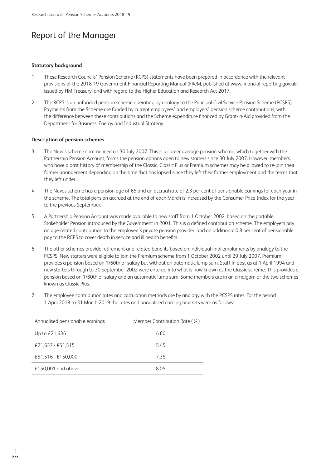# **Report of the Manager**

#### **Statutory background**

- $\overline{1}$ These Research Councils' Pension Scheme (RCPS) statements have been prepared in accordance with the relevant provisions of the 2018-19 Government Financial Reporting Manual (FReM, published at www.financial-reporting.gov.uk) issued by HM Treasury, and with regard to the Higher Education and Research Act 2017.
- $\mathfrak{Z}$ The RCPS is an unfunded pension scheme operating by analogy to the Principal Civil Service Pension Scheme (PCSPS). Payments from the Scheme are funded by current employees' and employers' pension scheme contributions, with the difference between these contributions and the Scheme expenditure financed by Grant-in-Aid provided from the Department for Business, Energy and Industrial Strategy.

### Description of pension schemes

- The Nuvos scheme commenced on 30 July 2007. This is a career average pension scheme, which together with the  $\overline{3}$ Partnership Pension Account, forms the pension options open to new starters since 30 July 2007. However, members who have a past history of membership of the Classic, Classic Plus or Premium schemes may be allowed to re-join their former arrangement depending on the time that has lapsed since they left their former employment and the terms that they left under.
- $\overline{4}$ The Nuvos scheme has a pension age of 65 and an accrual rate of 2.3 per cent of pensionable earnings for each year in the scheme. The total pension accrued at the end of each March is increased by the Consumer Price Index for the year to the previous September.
- 5 A Partnership Pension Account was made available to new staff from 1 October 2002, based on the portable Stakeholder Pension introduced by the Government in 2001. This is a defined contribution scheme. The employers pay an age-related contribution to the employee's private pension provider, and an additional 0.8 per cent of pensionable pay to the RCPS to cover death in service and ill health benefits.
- 6 The other schemes provide retirement and related benefits based on individual final emoluments by analogy to the PCSPS. New starters were eligible to join the Premium scheme from 1 October 2002 until 29 July 2007. Premium provides a pension based on 1/60th of salary but without an automatic lump sum. Staff in post as at 1 April 1994 and new starters through to 30 September 2002 were entered into what is now known as the Classic scheme. This provides a pension based on 1/80th of salary and an automatic lump sum. Some members are in an amalgam of the two schemes known as Classic Plus.
- $\overline{7}$ The employee contribution rates and calculation methods are by analogy with the PCSPS rates. For the period 1 April 2018 to 31 March 2019 the rates and annualised earning brackets were as follows:

| Annualised pensionable earnings | Member Contribution Rate (%) |
|---------------------------------|------------------------------|
| Up to $£21,636$                 | 4.60                         |
| £21,637 - £51,515               | 5.45                         |
| £51,516 - £150,000              | 7.35                         |
| £150,001 and above              | 8.05                         |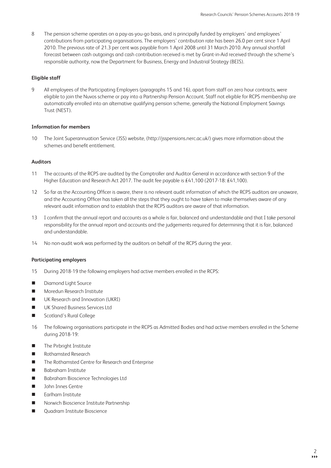8 The pension scheme operates on a pay-as-you-go basis, and is principally funded by employers' and employees' contributions from participating organisations. The employers' contribution rate has been 26.0 per cent since 1 April 2010. The previous rate of 21.3 per cent was payable from 1 April 2008 until 31 March 2010. Any annual shortfall forecast between cash outgoings and cash contribution received is met by Grant-in-Aid received through the scheme's responsible authority, now the Department for Business, Energy and Industrial Strategy (BEIS).

### **Eligible staff**

9 All employees of the Participating Employers (paragraphs 15 and 16), apart from staff on zero hour contracts, were eligible to join the Nuvos scheme or pay into a Partnership Pension Account. Staff not eligible for RCPS membership are automatically enrolled into an alternative qualifying pension scheme, generally the National Employment Savings Trust (NEST).

### **Information for members**

10 The Joint Superannuation Service (JSS) website, [\(http://jsspensions.nerc.ac.uk/\)](http://jsspensions.nerc.ac.uk/) gives more information about the schemes and benefit entitlement.

### **Auditors**

- 11 The accounts of the RCPS are audited by the Comptroller and Auditor General in accordance with section 9 of the Higher Education and Research Act 2017. The audit fee payable is £41,100 (2017-18: £41,100).
- 12 So far as the Accounting Officer is aware, there is no relevant audit information of which the RCPS auditors are unaware, and the Accounting Officer has taken all the steps that they ought to have taken to make themselves aware of any relevant audit information and to establish that the RCPS auditors are aware of that information.
- 13 I confirm that the annual report and accounts as a whole is fair, balanced and understandable and that I take personal responsibility for the annual report and accounts and the judgements required for determining that it is fair, balanced and understandable.
- 14 No non-audit work was performed by the auditors on behalf of the RCPS during the year.

# **Participating employers**

- 15 During 2018-19 the following employers had active members enrolled in the RCPS:
- Diamond Light Source
- **n** Moredun Research Institute
- **No. 3** UK Research and Innovation (UKRI)
- **n** UK Shared Business Services Ltd
- Scotland's Rural College
- 16 The following organisations participate in the RCPS as Admitted Bodies and had active members enrolled in the Scheme during 2018-19:
- **n** The Pirbright Institute
- **n** Rothamsted Research
- The Rothamsted Centre for Research and Enterprise
- **n** Babraham Institute
- Babraham Bioscience Technologies Ltd
- **n** John Innes Centre
- $\blacksquare$  Earlham Institute
- n Norwich Bioscience Institute Partnership
- **Ouadram Institute Bioscience**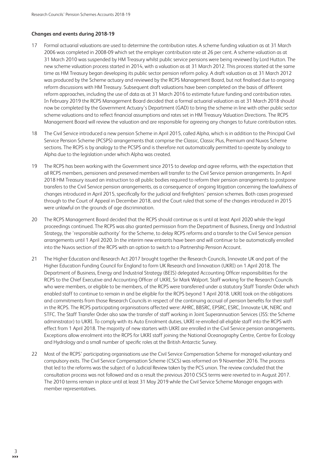### **Changes and events during 2018-19**

- 17 Formal actuarial valuations are used to determine the contribution rates. A scheme funding valuation as at 31 March 2006 was completed in 2008-09 which set the employer contribution rate at 26 per cent. A scheme valuation as at 31 March 2010 was suspended by HM Treasury whilst public service pensions were being reviewed by Lord Hutton. The new scheme valuation process started in 2014, with a valuation as at 31 March 2012. This process started at the same time as HM Treasury began developing its public sector pension reform policy. A draft valuation as at 31 March 2012 was produced by the Scheme actuary and reviewed by the RCPS Management Board, but not finalised due to ongoing reform discussions with HM Treasury. Subsequent draft valuations have been completed on the basis of different reform approaches, including the use of data as at 31 March 2016 to estimate future funding and contribution rates. In February 2019 the RCPS Management Board decided that a formal actuarial valuation as at 31 March 2018 should now be completed by the Government Actuary's Department (GAD) to bring the scheme in line with other public sector scheme valuations and to reflect financial assumptions and rates set in HM Treasury Valuation Directions. The RCPS Management Board will review the valuation and are responsible for agreeing any changes to future contribution rates.
- 18 The Civil Service introduced a new pension Scheme in April 2015, called Alpha, which is in addition to the Principal Civil Service Pension Scheme (PCSPS) arrangements that comprise the Classic, Classic Plus, Premium and Nuvos Scheme sections. The RCPS is by analogy to the PCSPS and is therefore not automatically permitted to operate by analogy to Alpha due to the legislation under which Alpha was created.
- 19 The RCPS has been working with the Government since 2015 to develop and agree reforms, with the expectation that all RCPS members, pensioners and preserved members will transfer to the Civil Service pension arrangements. In April 2018 HM Treasury issued an instruction to all public bodies required to reform their pension arrangements to postpone transfers to the Civil Service pension arrangements, as a consequence of ongoing litigation concerning the lawfulness of changes introduced in April 2015, specifically for the judicial and firefighters' pension schemes. Both cases progressed through to the Court of Appeal in December 2018, and the Court ruled that some of the changes introduced in 2015 were unlawful on the grounds of age discrimination.
- 20 The RCPS Management Board decided that the RCPS should continue as is until at least April 2020 while the legal proceedings continued. The RCPS was also granted permission from the Department of Business, Energy and Industrial Strategy, the 'responsible authority' for the Scheme, to delay RCPS reforms and a transfer to the Civil Service pension arrangements until 1 April 2020. In the interim new entrants have been and will continue to be automatically enrolled into the Nuvos section of the RCPS with an option to switch to a Partnership Pension Account.
- 21 The Higher Education and Research Act 2017 brought together the Research Councils, Innovate UK and part of the Higher Education Funding Council for England to form UK Research and Innovation (UKRI) on 1 April 2018. The Department of Business, Energy and Industrial Strategy (BEIS) delegated Accounting Officer responsibilities for the RCPS to the Chief Executive and Accounting Officer of UKRI, Sir Mark Walport. Staff working for the Research Councils who were members, or eligible to be members, of the RCPS were transferred under a statutory Staff Transfer Order which enabled staff to continue to remain in and be eligible for the RCPS beyond 1 April 2018. UKRI took on the obligations and commitments from those Research Councils in respect of the continuing accrual of pension benefits for their staff in the RCPS. The RCPS participating organisations affected were: AHRC, BBSRC, EPSRC, ESRC, Innovate UK, NERC and STFC. The Staff Transfer Order also saw the transfer of staff working in Joint Superannuation Services (JSS: the Scheme administrator) to UKRI. To comply with its Auto Enrolment duties, UKRI re-enrolled all eligible staff into the RCPS with effect from 1 April 2018. The majority of new starters with UKRI are enrolled in the Civil Service pension arrangements. Exceptions allow enrolment into the RCPS for UKRI staff joining the National Oceanography Centre, Centre for Ecology and Hydrology and a small number of specific roles at the British Antarctic Survey.
- 22 Most of the RCPS' participating organisations use the Civil Service Compensation Scheme for managed voluntary and compulsory exits. The Civil Service Compensation Scheme (CSCS) was reformed on 9 November 2016. The process that led to the reforms was the subject of a Judicial Review taken by the PCS union. The review concluded that the consultation process was not followed and as a result the previous 2010 CSCS terms were reverted to in August 2017. The 2010 terms remain in place until at least 31 May 2019 while the Civil Service Scheme Manager engages with member representatives.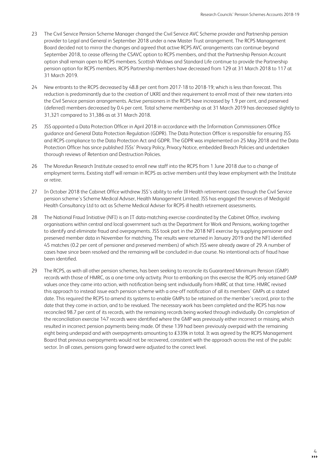- 23 The Civil Service Pension Scheme Manager changed the Civil Service AVC Scheme provider and Partnership pension provider to Legal and General in September 2018 under a new Master Trust arrangement. The RCPS Management Board decided not to mirror the changes and agreed that active RCPS AVC arrangements can continue beyond September 2018, to cease offering the CSAVC option to RCPS members, and that the Partnership Pension Account option shall remain open to RCPS members. Scottish Widows and Standard Life continue to provide the Partnership pension option for RCPS members. RCPS Partnership members have decreased from 129 at 31 March 2018 to 117 at 31 March 2019.
- 24 New entrants to the RCPS decreased by 48.8 per cent from 2017-18 to 2018-19; which is less than forecast. This reduction is predominantly due to the creation of UKRI and their requirement to enroll most of their new starters into the Civil Service pension arrangements. Active pensioners in the RCPS have increased by 1.9 per cent, and preserved (deferred) members decreased by 0.4 per cent. Total scheme membership as at 31 March 2019 has decreased slightly to 31,321 compared to 31,386 as at 31 March 2018.
- 25 JSS appointed a Data Protection Officer in April 2018 in accordance with the Information Commissioners Office guidance and General Data Protection Regulation (GDPR). The Data Protection Officer is responsible for ensuring JSS and RCPS compliance to the Data Protection Act and GDPR. The GDPR was implemented on 25 May 2018 and the Data Protection Officer has since published JSSs' Privacy Policy, Privacy Notice, embedded Breach Policies and undertaken thorough reviews of Retention and Destruction Policies.
- 26 The Moredun Research Institute ceased to enroll new staff into the RCPS from 1 June 2018 due to a change of employment terms. Existing staff will remain in RCPS as active members until they leave employment with the Institute or retire.
- 27 In October 2018 the Cabinet Office withdrew JSS's ability to refer Ill Health retirement cases through the Civil Service pension scheme's Scheme Medical Adviser, Health Management Limited. JSS has engaged the services of Medigold Health Consultancy Ltd to act as Scheme Medical Adviser for RCPS ill health retirement assessments.
- 28 The National Fraud Initiative (NFI) is an IT data-matching exercise coordinated by the Cabinet Office, involving organisations within central and local government such as the Department for Work and Pensions, working together to identify and eliminate fraud and overpayments. JSS took part in the 2018 NFI exercise by supplying pensioner and preserved member data in November for matching. The results were returned in January 2019 and the NFI identified 45 matches (0.2 per cent of pensioner and preserved members) of which JSS were already aware of 29. A number of cases have since been resolved and the remaining will be concluded in due course. No intentional acts of fraud have been identified.
- 29 The RCPS, as with all other pension schemes, has been seeking to reconcile its Guaranteed Minimum Pension (GMP) records with those of HMRC, as a one-time only activity. Prior to embarking on this exercise the RCPS only retained GMP values once they came into action, with notification being sent individually from HMRC at that time. HMRC revised this approach to instead issue each pension scheme with a one-off notification of all its members' GMPs at a stated date. This required the RCPS to amend its systems to enable GMPs to be retained on the member's record, prior to the date that they come in action, and to be revalued. The necessary work has been completed and the RCPS has now reconciled 98.7 per cent of its records, with the remaining records being worked through individually. On completion of the reconciliation exercise 147 records were identified where the GMP was previously either incorrect or missing, which resulted in incorrect pension payments being made. Of these 139 had been previously overpaid with the remaining eight being underpaid and with overpayments amounting to £339k in total. It was agreed by the RCPS Management Board that previous overpayments would not be recovered, consistent with the approach across the rest of the public sector. In all cases, pensions going forward were adjusted to the correct level.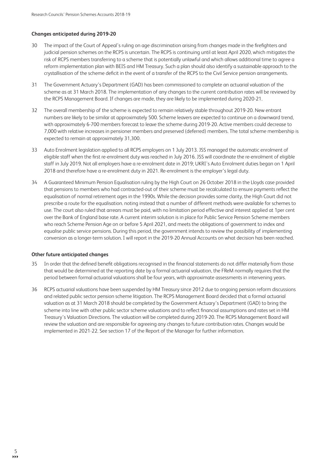### **Changes anticipated during 2019-20**

- 30 The impact of the Court of Appeal's ruling on age discrimination arising from changes made in the firefighters and judicial pension schemes on the RCPS is uncertain. The RCPS is continuing until at least April 2020, which mitigates the risk of RCPS members transferring to a scheme that is potentially unlawful and which allows additional time to agree a reform implementation plan with BEIS and HM Treasury. Such a plan should also identify a sustainable approach to the crystallisation of the scheme deficit in the event of a transfer of the RCPS to the Civil Service pension arrangements.
- 31 The Government Actuary's Department (GAD) has been commissioned to complete an actuarial valuation of the scheme as at 31 March 2018. The implementation of any changes to the current contribution rates will be reviewed by the RCPS Management Board. If changes are made, they are likely to be implemented during 2020-21.
- 32 The overall membership of the scheme is expected to remain relatively stable throughout 2019-20. New entrant numbers are likely to be similar at approximately 500. Scheme leavers are expected to continue on a downward trend, with approximately 6-700 members forecast to leave the scheme during 2019-20. Active members could decrease to 7,000 with relative increases in pensioner members and preserved (deferred) members. The total scheme membership is expected to remain at approximately 31,300.
- 33 Auto Enrolment legislation applied to all RCPS employers on 1 July 2013. JSS managed the automatic enrolment of eligible staff when the first re-enrolment duty was reached in July 2016. JSS will coordinate the re-enrolment of eligible staff in July 2019. Not all employers have a re-enrolment date in 2019; UKRI's Auto Enrolment duties began on 1 April 2018 and therefore have a re-enrolment duty in 2021. Re-enrolment is the employer's legal duty.
- 34 A Guaranteed Minimum Pension Equalisation ruling by the High Court on 26 October 2018 in the Lloyds case provided that pensions to members who had contracted-out of their scheme must be recalculated to ensure payments reflect the equalisation of normal retirement ages in the 1990s. While the decision provides some clarity, the High Court did not prescribe a route for the equalisation. noting instead that a number of different methods were available for schemes to use. The court also ruled that arrears must be paid, with no limitation period effective and interest applied at 1per cent over the Bank of England base rate. A current interim solution is in place for Public Service Pension Scheme members who reach Scheme Pension Age on or before 5 April 2021, and meets the obligations of government to index and equalise public service pensions. During this period, the government intends to review the possibility of implementing conversion as a longer-term solution. I will report in the 2019-20 Annual Accounts on what decision has been reached.

### **Other future anticipated changes**

- 35 In order that the defined benefit obligations recognised in the financial statements do not differ materially from those that would be determined at the reporting date by a formal actuarial valuation, the FReM normally requires that the period between formal actuarial valuations shall be four years, with approximate assessments in intervening years.
- 36 RCPS actuarial valuations have been suspended by HM Treasury since 2012 due to ongoing pension reform discussions and related public sector pension scheme litigation. The RCPS Management Board decided that a formal actuarial valuation as at 31 March 2018 should be completed by the Government Actuary's Department (GAD) to bring the scheme into line with other public sector scheme valuations and to reflect financial assumptions and rates set in HM Treasury's Valuation Directions. The valuation will be completed during 2019-20. The RCPS Management Board will review the valuation and are responsible for agreeing any changes to future contribution rates. Changes would be implemented in 2021-22. See section 17 of the Report of the Manager for further information.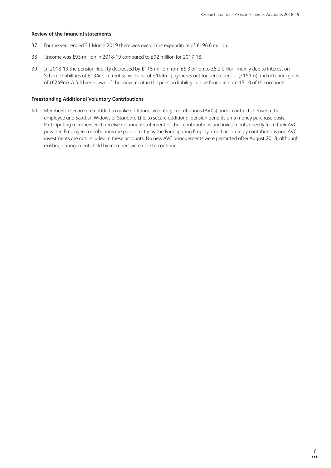### **Review of the financial statements**

- 37 For the year ended 31 March 2019 there was overall net expenditure of £196.6 million.
- 38 Income was £93 million in 2018-19 compared to £92 million for 2017-18.
- 39 In 2018-19 the pension liability decreased by £115 million from £5.3 billion to £5.2 billion, mainly due to interest on Scheme liabilities of £134m, current service cost of £149m, payments out for pensioners of (£153m) and actuarial gains of (£249m). A full breakdown of the movement in the pension liability can be found in note 15.10 of the accounts.

### **Freestanding Additional Voluntary Contributions**

40 Members in service are entitled to make additional voluntary contributions (AVCs) under contracts between the employee and Scottish Widows or Standard Life, to secure additional pension benefits on a money purchase basis. Participating members each receive an annual statement of their contributions and investments directly from their AVC provider. Employee contributions are paid directly by the Participating Employer and accordingly contributions and AVC investments are not included in these accounts. No new AVC arrangements were permitted after August 2018, although existing arrangements held by members were able to continue.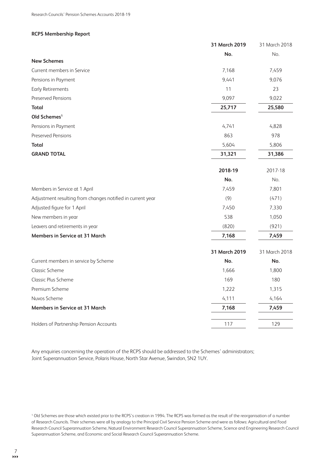### **RCPS Membership Report**

|                                                            | 31 March 2019 | 31 March 2018 |
|------------------------------------------------------------|---------------|---------------|
|                                                            | No.           | No.           |
| <b>New Schemes</b>                                         |               |               |
| Current members in Service                                 | 7,168         | 7,459         |
| Pensions in Payment                                        | 9,441         | 9,076         |
| <b>Early Retirements</b>                                   | 11            | 23            |
| <b>Preserved Pensions</b>                                  | 9,097         | 9,022         |
| <b>Total</b>                                               | 25,717        | 25,580        |
| Old Schemes <sup>1</sup>                                   |               |               |
| Pensions in Payment                                        | 4,741         | 4,828         |
| <b>Preserved Pensions</b>                                  | 863           | 978           |
| <b>Total</b>                                               | 5,604         | 5,806         |
| <b>GRAND TOTAL</b>                                         | 31,321        | 31,386        |
|                                                            | 2018-19       | 2017-18       |
|                                                            | No.           | No.           |
| Members in Service at 1 April                              | 7,459         | 7,801         |
| Adjustment resulting from changes notified in current year | (9)           | (471)         |
| Adjusted figure for 1 April                                | 7,450         | 7,330         |
| New members in year                                        | 538           | 1,050         |
| Leavers and retirements in year                            | (820)         | (921)         |
| <b>Members in Service at 31 March</b>                      | 7,168         | 7,459         |
|                                                            | 31 March 2019 | 31 March 2018 |
| Current members in service by Scheme                       | No.           | No.           |
| <b>Classic Scheme</b>                                      | 1,666         | 1,800         |
| Classic Plus Scheme                                        | 169           | 180           |
| Premium Scheme                                             | 1,222         | 1,315         |
| Nuvos Scheme                                               | 4,111         | 4,164         |
| Members in Service at 31 March                             | 7,168         | 7,459         |
| Holders of Partnership Pension Accounts                    | 117           | 129           |

Any enquiries concerning the operation of the RCPS should be addressed to the Schemes' administrators; Joint Superannuation Service, Polaris House, North Star Avenue, Swindon, SN2 1UY.

<sup>1</sup> Old Schemes are those which existed prior to the RCPS's creation in 1994. The RCPS was formed as the result of the reorganisation of a number of Research Councils. Their schemes were all by analogy to the Principal Civil Service Pension Scheme and were as follows: Agricultural and Food Research Council Superannuation Scheme, Natural Environment Research Council Superannuation Scheme, Science and Engineering Research Council Superannuation Scheme, and Economic and Social Research Council Superannuation Scheme.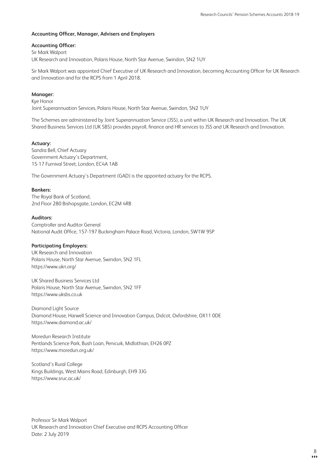### **Accounting Officer, Manager, Advisers and Employers**

### **Accounting Officer:**

Sir Mark Walport UK Research and Innovation, Polaris House, North Star Avenue, Swindon, SN2 1UY

Sir Mark Walport was appointed Chief Executive of UK Research and Innovation, becoming Accounting Officer for UK Research and Innovation and for the RCPS from 1 April 2018.

### **Manager:**

Kye Honor

Joint Superannuation Services, Polaris House, North Star Avenue, Swindon, SN2 1UY

The Schemes are administered by Joint Superannuation Service (JSS), a unit within UK Research and Innovation. The UK Shared Business Services Ltd (UK SBS) provides payroll, finance and HR services to JSS and UK Research and Innovation.

### **Actuary:**

Sandra Bell, Chief Actuary Government Actuary's Department, 15-17 Furnival Street, London, EC4A 1AB

The Government Actuary's Department (GAD) is the appointed actuary for the RCPS.

### **Bankers:**

The Royal Bank of Scotland, 2nd Floor 280 Bishopsgate, London, EC2M 4RB

### **Auditors:**

Comptroller and Auditor General National Audit Office, 157-197 Buckingham Palace Road, Victoria, London, SW1W 9SP

### **Participating Employers:**

UK Research and Innovation Polaris House, North Star Avenue, Swindon, SN2 1FL <https://www.ukri.org/>

UK Shared Business Services Ltd Polaris House, North Star Avenue, Swindon, SN2 1FF <https://www.uksbs.co.uk>

Diamond Light Source Diamond House, Harwell Science and Innovation Campus, Didcot, Oxfordshire, OX11 0DE <https://www.diamond.ac.uk/>

Moredun Research Institute Pentlands Science Park, Bush Loan, Penicuik, Midlothian, EH26 0PZ <https://www.moredun.org.uk/>

Scotland's Rural College Kings Buildings, West Mains Road, Edinburgh, EH9 3JG <https://www.sruc.ac.uk/>

Professor Sir Mark Walport UK Research and Innovation Chief Executive and RCPS Accounting Officer Date: 2 July 2019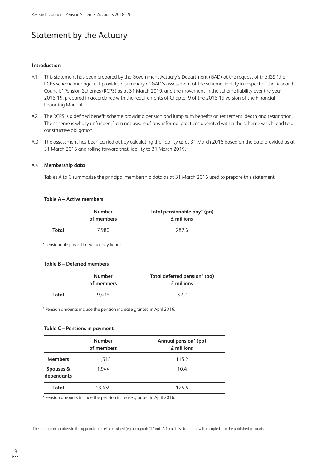# Statement by the Actuary<sup>1</sup>

#### **Introduction**

- A1. This statement has been prepared by the Government Actuary's Department (GAD) at the request of the JSS (the RCPS scheme manager). It provides a summary of GAD's assessment of the scheme liability in respect of the Research Councils' Pension Schemes (RCPS) as at 31 March 2019, and the movement in the scheme liability over the year 2018-19, prepared in accordance with the requirements of Chapter 9 of the 2018-19 version of the Financial Reporting Manual.
- A2 The RCPS is a defined benefit scheme providing pension and lump sum benefits on retirement, death and resignation. The scheme is wholly unfunded. I am not aware of any informal practices operated within the scheme which lead to a constructive obligation.
- A.3 The assessment has been carried out by calculating the liability as at 31 March 2016 based on the data provided as at 31 March 2016 and rolling forward that liability to 31 March 2019.

### A.4 **Membership data**

Tables A to C summarise the principal membership data as at 31 March 2016 used to prepare this statement.

### **Table A – Active members**

|       | <b>Number</b><br>of members                 | Total pensionable pay <sup>*</sup> (pa)<br>£ millions |
|-------|---------------------------------------------|-------------------------------------------------------|
| Total | 7.980                                       | 282.6                                                 |
|       | * Pensionable pay is the Actual pay figure. |                                                       |

#### **Table B – Deferred members**

| <b>Number</b> |       | Total deferred pension* (pa) |  |
|---------------|-------|------------------------------|--|
| of members    |       | <b>£</b> millions            |  |
| Total         | 9.438 | 322                          |  |

\* Pension amounts include the pension increase granted in April 2016.

### **Table C – Pensions in payment**

|                         | <b>Number</b><br>of members | Annual pension* (pa)<br>$E$ millions |
|-------------------------|-----------------------------|--------------------------------------|
| <b>Members</b>          | 11,515                      | 115.2                                |
| Spouses &<br>dependants | 1.944                       | 10.4                                 |
| Total                   | 13.459                      | 125.6                                |

\* Pension amounts include the pension increase granted in April 2016.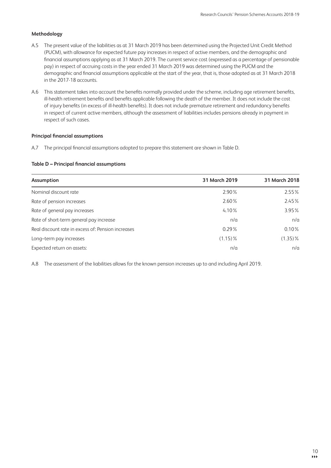### **Methodology**

- A.5 The present value of the liabilities as at 31 March 2019 has been determined using the Projected Unit Credit Method (PUCM), with allowance for expected future pay increases in respect of active members, and the demographic and financial assumptions applying as at 31 March 2019. The current service cost (expressed as a percentage of pensionable pay) in respect of accruing costs in the year ended 31 March 2019 was determined using the PUCM and the demographic and financial assumptions applicable at the start of the year, that is, those adopted as at 31 March 2018 in the 2017-18 accounts.
- A.6 This statement takes into account the benefits normally provided under the scheme, including age retirement benefits, ill-health retirement benefits and benefits applicable following the death of the member. It does not include the cost of injury benefits (in excess of ill-health benefits). It does not include premature retirement and redundancy benefits in respect of current active members, although the assessment of liabilities includes pensions already in payment in respect of such cases.

### **Principal financial assumptions**

A.7 The principal financial assumptions adopted to prepare this statement are shown in Table D.

### **Table D – Principal financial assumptions**

| Assumption                                         | 31 March 2019 | 31 March 2018 |
|----------------------------------------------------|---------------|---------------|
| Nominal discount rate                              | 2.90%         | 2.55%         |
| Rate of pension increases                          | $2.60\%$      | 2.45%         |
| Rate of general pay increases                      | 4.10%         | 3.95%         |
| Rate of short-term general pay increase            | n/a           | n/a           |
| Real discount rate in excess of: Pension increases | 0.29%         | $0.10\%$      |
| Long-term pay increases                            | $(1.15)\%$    | $(1.35)\%$    |
| Expected return on assets:                         | n/a           | n/a           |

A.8 The assessment of the liabilities allows for the known pension increases up to and including April 2019.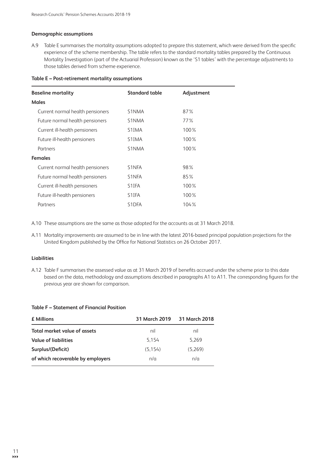### **Demographic assumptions**

A.9 Table E summarises the mortality assumptions adopted to prepare this statement, which were derived from the specific experience of the scheme membership. The table refers to the standard mortality tables prepared by the Continuous Mortality Investigation (part of the Actuarial Profession) known as the 'S1 tables' with the percentage adjustments to those tables derived from scheme experience.

| <b>Baseline mortality</b>        | <b>Standard table</b> | Adjustment |
|----------------------------------|-----------------------|------------|
| <b>Males</b>                     |                       |            |
| Current normal health pensioners | S1NMA                 | 87%        |
| Future normal health pensioners  | S1NMA                 | $77\%$     |
| Current ill-health pensioners    | S1IMA                 | 100%       |
| Future ill-health pensioners     | S1IMA                 | 100%       |
| Partners                         | S1NMA                 | 100%       |
| <b>Females</b>                   |                       |            |
| Current normal health pensioners | S <sub>1</sub> NFA    | 98%        |
| Future normal health pensioners  | S <sub>1</sub> NFA    | 85%        |
| Current ill-health pensioners    | S <sub>1</sub> IFA    | 100%       |
| Future ill-health pensioners     | S <sub>1</sub> IFA    | 100%       |
| Partners                         | S <sub>1</sub> DFA    | 104%       |

### **Table E – Post-retirement mortality assumptions**

A.10 These assumptions are the same as those adopted for the accounts as at 31 March 2018.

A.11 Mortality improvements are assumed to be in line with the latest 2016-based principal population projections for the United Kingdom published by the Office for National Statistics on 26 October 2017.

### **Liabilities**

A.12 Table F summarises the assessed value as at 31 March 2019 of benefits accrued under the scheme prior to this date based on the data, methodology and assumptions described in paragraphs A1 to A11. The corresponding figures for the previous year are shown for comparison.

### **Table F – Statement of Financial Position**

| € Millions                        | 31 March 2019 | 31 March 2018 |
|-----------------------------------|---------------|---------------|
| Total market value of assets      | nil           | nil           |
| <b>Value of liabilities</b>       | 5.154         | 5.269         |
| Surplus/(Deficit)                 | (5.154)       | (5.269)       |
| of which recoverable by employers | n/a           | n/a           |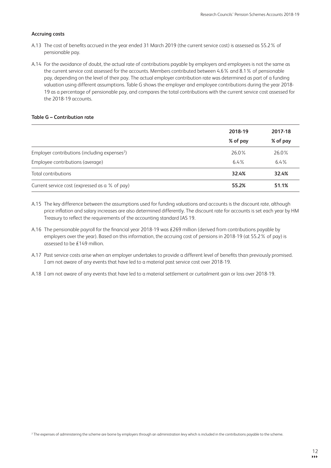### **Accruing costs**

- A.13 The cost of benefits accrued in the year ended 31 March 2019 (the current service cost) is assessed as 55.2% of pensionable pay.
- A.14 For the avoidance of doubt, the actual rate of contributions payable by employers and employees is not the same as the current service cost assessed for the accounts. Members contributed between 4.6% and 8.1% of pensionable pay, depending on the level of their pay. The actual employer contribution rate was determined as part of a funding valuation using different assumptions. Table G shows the employer and employee contributions during the year 2018- 19 as a percentage of pensionable pay, and compares the total contributions with the current service cost assessed for the 2018-19 accounts.

### **Table G – Contribution rate**

|                                                           | 2018-19  | 2017-18  |
|-----------------------------------------------------------|----------|----------|
|                                                           | % of pay | % of pay |
| Employer contributions (including expenses <sup>2</sup> ) | 26.0%    | 26.0%    |
| Employee contributions (average)                          | $6.4\%$  | $6.4\%$  |
| Total contributions                                       | 32.4%    | 32.4%    |
| Current service cost (expressed as a % of pay)            | 55.2%    | 51.1%    |

- A.15 The key difference between the assumptions used for funding valuations and accounts is the discount rate, although price inflation and salary increases are also determined differently. The discount rate for accounts is set each year by HM Treasury to reflect the requirements of the accounting standard IAS 19.
- A.16 The pensionable payroll for the financial year 2018-19 was £269 million (derived from contributions payable by employers over the year). Based on this information, the accruing cost of pensions in 2018-19 (at 55.2% of pay) is assessed to be £149 million.
- A.17 Past service costs arise when an employer undertakes to provide a different level of benefits than previously promised. I am not aware of any events that have led to a material past service cost over 2018-19.
- A.18 I am not aware of any events that have led to a material settlement or curtailment gain or loss over 2018-19.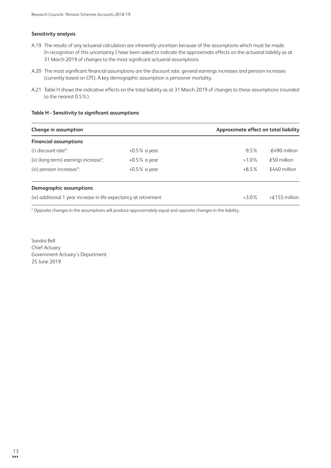### **Sensitivity analysis**

- A.19 The results of any actuarial calculation are inherently uncertain because of the assumptions which must be made. In recognition of this uncertainty I have been asked to indicate the approximate effects on the actuarial liability as at 31 March 2019 of changes to the most significant actuarial assumptions.
- A.20 The most significant financial assumptions are the discount rate, general earnings increases and pension increases (currently based on CPI). A key demographic assumption is pensioner mortality.
- A.21 Table H shows the indicative effects on the total liability as at 31 March 2019 of changes to these assumptions (rounded to the nearest 0.5%).

### **Table H - Sensitivity to significant assumptions**

| Change in assumption                                             |                 |          | Approximate effect on total liability |  |
|------------------------------------------------------------------|-----------------|----------|---------------------------------------|--|
| <b>Financial assumptions</b>                                     |                 |          |                                       |  |
| (i) discount rate*:                                              | $+0.5\%$ a year | $-9.5\%$ | $-490$ million                        |  |
| (ii) (long-term) earnings increase*:                             | $+0.5\%$ a year | $+1.0%$  | $£50$ million                         |  |
| (iii) pension increases*:                                        | $+0.5\%$ a year | $+8.5%$  | $£440$ million                        |  |
| Demographic assumptions                                          |                 |          |                                       |  |
| (iv) additional 1 year increase in life expectancy at retirement |                 | $+3.0%$  | +£155 million                         |  |

\* Opposite changes in the assumptions will produce approximately equal and opposite changes in the liability.

Sandra Bell Chief Actuary Government Actuary's Department 25 June 2019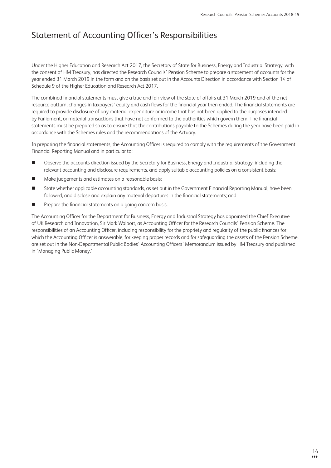# Statement of Accounting Officer's Responsibilities

Under the Higher Education and Research Act 2017, the Secretary of State for Business, Energy and Industrial Strategy, with the consent of HM Treasury, has directed the Research Councils' Pension Scheme to prepare a statement of accounts for the year ended 31 March 2019 in the form and on the basis set out in the Accounts Direction in accordance with Section 14 of Schedule 9 of the Higher Education and Research Act 2017.

The combined financial statements must give a true and fair view of the state of affairs at 31 March 2019 and of the net resource outturn, changes in taxpayers' equity and cash flows for the financial year then ended. The financial statements are required to provide disclosure of any material expenditure or income that has not been applied to the purposes intended by Parliament, or material transactions that have not conformed to the authorities which govern them. The financial statements must be prepared so as to ensure that the contributions payable to the Schemes during the year have been paid in accordance with the Schemes rules and the recommendations of the Actuary.

In preparing the financial statements, the Accounting Officer is required to comply with the requirements of the Government Financial Reporting Manual and in particular to:

- n Observe the accounts direction issued by the Secretary for Business, Energy and Industrial Strategy, including the relevant accounting and disclosure requirements, and apply suitable accounting policies on a consistent basis;
- Make judgements and estimates on a reasonable basis;
- n State whether applicable accounting standards, as set out in the Government Financial Reporting Manual, have been followed, and disclose and explain any material departures in the financial statements; and
- Prepare the financial statements on a going concern basis.

The Accounting Officer for the Department for Business, Energy and Industrial Strategy has appointed the Chief Executive of UK Research and Innovation, Sir Mark Walport, as Accounting Officer for the Research Councils' Pension Scheme. The responsibilities of an Accounting Officer, including responsibility for the propriety and regularity of the public finances for which the Accounting Officer is answerable, for keeping proper records and for safeguarding the assets of the Pension Scheme. are set out in the Non-Departmental Public Bodies' Accounting Officers' Memorandum issued by HM Treasury and published in 'Managing Public Money.'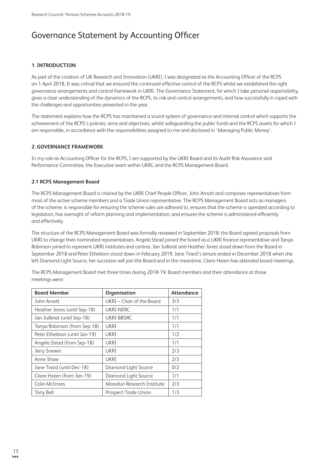# Governance Statement by Accounting Officer

# **1. INTRODUCTION**

As part of the creation of UK Research and Innovation (UKRI), I was designated as the Accounting Officer of the RCPS on 1 April 2018. It was critical that we ensured the continued effective control of the RCPS whilst we established the right governance arrangements and control framework in UKRI. The Governance Statement, for which I take personal responsibility, gives a clear understanding of the dynamics of the RCPS, its risk and control arrangements, and how successfully it coped with the challenges and opportunities presented in the year.

The statement explains how the RCPS has maintained a sound system of governance and internal control which supports the achievement of the RCPS's policies, aims and objectives, whilst safeguarding the public funds and the RCPS assets for which I am responsible, in accordance with the responsibilities assigned to me and disclosed in 'Managing Public Money'.

# **2. GOVERNANCE FRAMEWORK**

In my role as Accounting Officer for the RCPS, I am supported by the UKRI Board and its Audit Risk Assurance and Performance Committee, the Executive team within UKRI, and the RCPS Management Board.

# **2.1 RCPS Management Board**

The RCPS Management Board is chaired by the UKRI Chief People Officer, John Arnott and comprises representatives from most of the active scheme members and a Trade Union representative. The RCPS Management Board acts as managers of the scheme, is responsible for ensuring the scheme rules are adhered to, ensures that the scheme is operated according to legislation, has oversight of reform planning and implementation, and ensures the scheme is administered efficiently and effectively.

The structure of the RCPS Management Board was formally reviewed in September 2018; the Board agreed proposals from UKRI to change their nominated representatives. Angela Stead joined the board as a UKRI finance representative and Tanya Robinson joined to represent UKRI institutes and centres. Jan Juillerat and Heather Jones stood down from the Board in September 2018 and Peter Ethelston stood down in February 2019. Jane Tirard's tenure ended in December 2018 when she left Diamond Light Source, her successor will join the Board and in the meantime, Claire Hearn has attended board meetings.

| <b>Board Member</b>            | Organisation               | <b>Attendance</b> |
|--------------------------------|----------------------------|-------------------|
| John Arnott                    | UKRI – Chair of the Board  | 3/3               |
| Heather Jones (until Sep-18)   | <b>UKRI-NERC</b>           | 1/1               |
| Jan Juillerat (until Sep-18)   | UKRI-BBSRC                 | 1/1               |
| Tanya Robinson (from Sep-18)   | UKRI                       | 1/1               |
| Peter Ethelston (until Jan-19) | UKRI                       | 1/2               |
| Angela Stead (from Sep-18)     | UKRI                       | 1/1               |
| Jerry Snewin                   | <b>UKRI</b>                | 2/3               |
| Anne Shaw                      | <b>UKRI</b>                | 2/3               |
| Jane Tirard (until Dec-18)     | Diamond Light Source       | 0/2               |
| Claire Hearn (from Jan-19)     | Diamond Light Source       | 1/1               |
| Colin McInnes                  | Moredun Research Institute | 2/3               |
| <b>Tony Bell</b>               | Prospect Trade Union       | 1/3               |

The RCPS Management Board met three times during 2018-19. Board members and their attendance at those meetings were: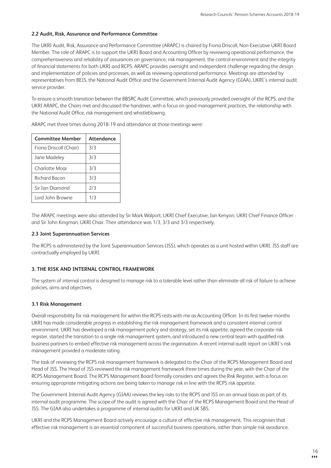### **2.2 Audit, Risk, Assurance and Performance Committee**

The UKRI Audit, Risk, Assurance and Performance Committee (ARAPC) is chaired by Fiona Driscoll, Non-Executive UKRI Board Member. The role of ARAPC is to support the UKRI Board and Accounting Officer by reviewing operational performance, the comprehensiveness and reliability of assurances on governance, risk management, the control environment and the integrity of financial statements for both UKRI and RCPS. ARAPC provides oversight and independent challenge regarding the design and implementation of policies and processes, as well as reviewing operational performance. Meetings are attended by representatives from BEIS, the National Audit Office and the Government Internal Audit Agency (GIAA), UKRI's internal audit service provider.

To ensure a smooth transition between the BBSRC Audit Committee, which previously provided oversight of the RCPS, and the UKRI ARAPC, the Chairs met and discussed the handover, with a focus on good management practices, the relationship with the National Audit Office, risk management and whistleblowing.

ARAPC met three times during 2018-19 and attendance at those meetings were:

| <b>Committee Member</b> | Attendance |
|-------------------------|------------|
| Fiona Driscoll (Chair)  | 3/3        |
| Jane Madeley            | 3/3        |
| Charlotte Moar          | 3/3        |
| Richard Bacon           | 3/3        |
| Sir Ian Diamond         | 7/3        |
| Lord John Browne        | 1/3        |

The ARAPC meetings were also attended by Sir Mark Walport, UKRI Chief Executive, Ian Kenyon, UKRI Chief Finance Officer and Sir John Kingman, UKRI Chair. Their attendance was 1/3, 3/3 and 3/3 respectively.

### **2.3 Joint Superannuation Services**

The RCPS is administered by the Joint Superannuation Services (JSS), which operates as a unit hosted within UKRI. JSS staff are contractually employed by UKRI.

### **3. THE RISK AND INTERNAL CONTROL FRAMEWORK**

The system of internal control is designed to manage risk to a tolerable level rather than eliminate all risk of failure to achieve policies, aims and objectives.

### **3.1 Risk Management**

Overall responsibility for risk management for within the RCPS rests with me as Accounting Officer. In its first twelve months UKRI has made considerable progress in establishing the risk management framework and a consistent internal control environment. UKRI has developed a risk management policy and strategy, set its risk appetite, agreed the corporate risk register, started the transition to a single risk management system, and introduced a new central team with qualified risk business partners to embed effective risk management across the organisation. A recent internal audit report on UKRI's risk management provided a moderate rating.

The task of reviewing the RCPS risk management framework is delegated to the Chair of the RCPS Management Board and Head of JSS. The Head of JSS reviewed the risk management framework three times during the year, with the Chair of the RCPS Management Board. The RCPS Management Board formally considers and agrees the Risk Register, with a focus on ensuring appropriate mitigating actions are being taken to manage risk in line with the RCPS risk appetite.

The Government Internal Audit Agency (GIAA) reviews the key risks to the RCPS and JSS on an annual basis as part of its internal audit programme. The scope of the audit is agreed with the Chair of the RCPS Management Board and the Head of JSS. The GIAA also undertakes a programme of internal audits for UKRI and UK SBS.

UKRI and the RCPS Management Board actively encourage a culture of effective risk management. This recognises that effective risk management is an essential component of successful business operations, rather than simple risk avoidance.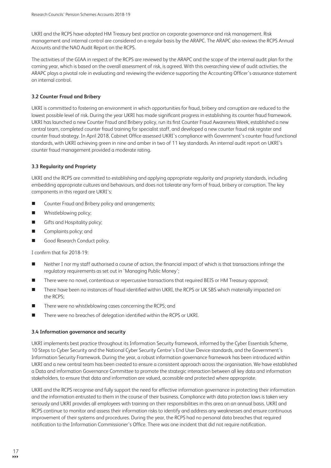UKRI and the RCPS have adopted HM Treasury best practice on corporate governance and risk management. Risk management and internal control are considered on a regular basis by the ARAPC. The ARAPC also reviews the RCPS Annual Accounts and the NAO Audit Report on the RCPS.

The activities of the GIAA in respect of the RCPS are reviewed by the ARAPC and the scope of the internal audit plan for the coming year, which is based on the overall assessment of risk, is agreed. With this overarching view of audit activities, the ARAPC plays a pivotal role in evaluating and reviewing the evidence supporting the Accounting Officer's assurance statement on internal control.

### **3.2 Counter Fraud and Bribery**

UKRI is committed to fostering an environment in which opportunities for fraud, bribery and corruption are reduced to the lowest possible level of risk. During the year UKRI has made significant progress in establishing its counter fraud framework. UKRI has launched a new Counter Fraud and Bribery policy, run its first Counter Fraud Awareness Week, established a new central team, completed counter fraud training for specialist staff, and developed a new counter fraud risk register and counter fraud strategy. In April 2018, Cabinet Office assessed UKRI's compliance with Government's counter fraud functional standards, with UKRI achieving green in nine and amber in two of 11 key standards. An internal audit report on UKRI's counter fraud management provided a moderate rating.

### **3.3 Regularity and Propriety**

UKRI and the RCPS are committed to establishing and applying appropriate regularity and propriety standards, including embedding appropriate cultures and behaviours, and does not tolerate any form of fraud, bribery or corruption. The key components in this regard are UKRI's:

- Counter Fraud and Bribery policy and arrangements;
- $\blacksquare$  Whistleblowing policy;
- **n** Gifts and Hospitality policy;
- **n** Complaints policy; and
- Good Research Conduct policy.

I confirm that for 2018-19:

- Neither I nor my staff authorised a course of action, the financial impact of which is that transactions infringe the regulatory requirements as set out in 'Managing Public Money';
- There were no novel, contentious or repercussive transactions that required BEIS or HM Treasury approval;
- There have been no instances of fraud identified within UKRI, the RCPS or UK SBS which materially impacted on the RCPS;
- There were no whistleblowing cases concerning the RCPS; and
- There were no breaches of delegation identified within the RCPS or UKRI.

### **3.4 Information governance and security**

UKRI implements best practice throughout its Information Security framework, informed by the Cyber Essentials Scheme, 10 Steps to Cyber Security and the National Cyber Security Centre's End User Device standards, and the Government's Information Security Framework. During the year, a robust information governance framework has been introduced within UKRI and a new central team has been created to ensure a consistent approach across the organisation. We have established a Data and information Governance Committee to promote the strategic interaction between all key data and information stakeholders, to ensure that data and information are valued, accessible and protected where appropriate.

UKRI and the RCPS recognise and fully support the need for effective information governance in protecting their information and the information entrusted to them in the course of their business. Compliance with data protection laws is taken very seriously and UKRI provides all employees with training on their responsibilities in this area on an annual basis. UKRI and RCPS continue to monitor and assess their information risks to identify and address any weaknesses and ensure continuous improvement of their systems and procedures. During the year, the RCPS had no personal data breaches that required notification to the Information Commissioner's Office. There was one incident that did not require notification.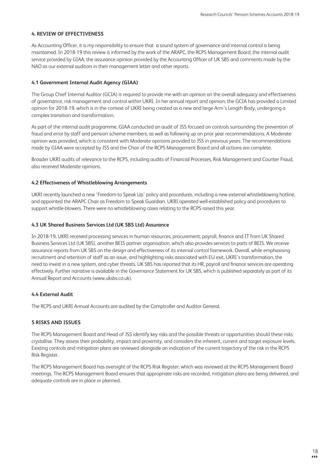### **4. REVIEW OF EFFECTIVENESS**

As Accounting Officer, it is my responsibility to ensure that a sound system of governance and internal control is being maintained. In 2018-19 this review is informed by the work of the ARAPC, the RCPS Management Board, the internal audit service provided by GIAA, the assurance opinion provided by the Accounting Officer of UK SBS and comments made by the NAO as our external auditors in their management letter and other reports.

### **4.1 Government Internal Audit Agency (GIAA)**

The Group Chief Internal Auditor (GCIA) is required to provide me with an opinion on the overall adequacy and effectiveness of governance, risk management and control within UKRI. In her annual report and opinion, the GCIA has provided a Limited opinion for 2018-19, which is in the context of UKRI being created as a new and large Arm's Length Body, undergoing a complex transition and transformation.

As part of the internal audit programme, GIAA conducted an audit of JSS focused on controls surrounding the prevention of fraud and error by staff and pension scheme members, as well as following up on prior year recommendations. A Moderate opinion was provided, which is consistent with Moderate opinions provided to JSS in previous years. The recommendations made by GIAA were accepted by JSS and the Chair of the RCPS Management Board and all actions are complete.

Broader UKRI audits of relevance to the RCPS, including audits of Financial Processes, Risk Management and Counter Fraud, also received Moderate opinions.

### **4.2 Effectiveness of Whistleblowing Arrangements**

UKRI recently launched a new 'Freedom to Speak Up' policy and procedures, including a new external whistleblowing hotline, and appointed the ARAPC Chair as Freedom to Speak Guardian. UKRI operated well-established policy and procedures to support whistle-blowers. There were no whistleblowing cases relating to the RCPS raised this year.

### **4.3 UK Shared Business Services Ltd (UK SBS Ltd) Assurance**

In 2018-19, UKRI received processing services in human resources, procurement, payroll, finance and IT from UK Shared Business Services Ltd (UK SBS), another BEIS partner organisation, which also provides services to parts of BEIS. We receive assurance reports from UK SBS on the design and effectiveness of its internal control framework. Overall, while emphasising recruitment and retention of staff as an issue, and highlighting risks associated with EU exit, UKRI's transformation, the need to invest in a new system, and cyber threats, UK SBS has reported that its HR, payroll and finance services are operating effectively. Further narrative is available in the Governance Statement for UK SBS, which is published separately as part of its Annual Report and Accounts (www.uksbs.co.uk).

# **4.4 External Audit**

The RCPS and UKRI Annual Accounts are audited by the Comptroller and Auditor General.

# **5 RISKS AND ISSUES**

The RCPS Management Board and Head of JSS identify key risks and the possible threats or opportunities should these risks crystallise. They assess their probability, impact and proximity, and considers the inherent, current and target exposure levels. Existing controls and mitigation plans are reviewed alongside an indication of the current trajectory of the risk in the RCPS Risk Register.

The RCPS Management Board has oversight of the RCPS Risk Register, which was reviewed at the RCPS Management Board meetings. The RCPS Management Board ensures that appropriate risks are recorded, mitigation plans are being delivered, and adequate controls are in place or planned.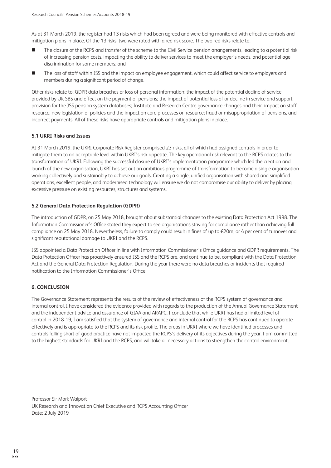As at 31 March 2019, the register had 13 risks which had been agreed and were being monitored with effective controls and mitigation plans in place. Of the 13 risks, two were rated with a red risk score. The two red risks relate to:

- The closure of the RCPS and transfer of the scheme to the Civil Service pension arrangements, leading to a potential risk of increasing pension costs, impacting the ability to deliver services to meet the employer's needs, and potential age discrimination for some members; and
- The loss of staff within JSS and the impact on employee engagement, which could affect service to employers and members during a significant period of change.

Other risks relate to: GDPR data breaches or loss of personal information; the impact of the potential decline of service provided by UK SBS and effect on the payment of pensions; the impact of potential loss of or decline in service and support provision for the JSS pension system databases; Institute and Research Centre governance changes and their impact on staff resource; new legislation or policies and the impact on core processes or resource; fraud or misappropriation of pensions, and incorrect payments. All of these risks have appropriate controls and mitigation plans in place.

### **5.1 UKRI Risks and Issues**

At 31 March 2019, the UKRI Corporate Risk Register comprised 23 risks, all of which had assigned controls in order to mitigate them to an acceptable level within UKRI's risk appetite. The key operational risk relevant to the RCPS relates to the transformation of UKRI. Following the successful closure of UKRI's implementation programme which led the creation and launch of the new organisation, UKRI has set out an ambitious programme of transformation to become a single organisation working collectively and sustainably to achieve our goals. Creating a single, unified organisation with shared and simplified operations, excellent people, and modernised technology will ensure we do not compromise our ability to deliver by placing excessive pressure on existing resources, structures and systems.

### **5.2 General Data Protection Regulation (GDPR)**

The introduction of GDPR, on 25 May 2018, brought about substantial changes to the existing Data Protection Act 1998. The Information Commissioner's Office stated they expect to see organisations striving for compliance rather than achieving full compliance on 25 May 2018. Nevertheless, failure to comply could result in fines of up to €20m, or 4 per cent of turnover and significant reputational damage to UKRI and the RCPS.

JSS appointed a Data Protection Officer in line with Information Commissioner's Office guidance and GDPR requirements. The Data Protection Officer has proactively ensured JSS and the RCPS are, and continue to be, compliant with the Data Protection Act and the General Data Protection Regulation. During the year there were no data breaches or incidents that required notification to the Information Commissioner's Office.

# **6. CONCLUSION**

The Governance Statement represents the results of the review of effectiveness of the RCPS system of governance and internal control. I have considered the evidence provided with regards to the production of the Annual Governance Statement and the independent advice and assurance of GIAA and ARAPC. I conclude that while UKRI has had a limited level of control in 2018-19, I am satisfied that the system of governance and internal control for the RCPS has continued to operate effectively and is appropriate to the RCPS and its risk profile. The areas in UKRI where we have identified processes and controls falling short of good practice have not impacted the RCPS's delivery of its objectives during the year. I am committed to the highest standards for UKRI and the RCPS, and will take all necessary actions to strengthen the control environment.

Professor Sir Mark Walport UK Research and Innovation Chief Executive and RCPS Accounting Officer Date: 2 July 2019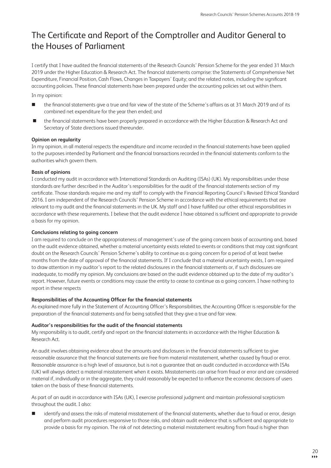# The Certificate and Report of the Comptroller and Auditor General to the Houses of Parliament

I certify that I have audited the financial statements of the Research Councils' Pension Scheme for the year ended 31 March 2019 under the Higher Education & Research Act. The financial statements comprise: the Statements of Comprehensive Net Expenditure, Financial Position, Cash Flows, Changes in Taxpayers' Equity; and the related notes, including the significant accounting policies. These financial statements have been prepared under the accounting policies set out within them.

In my opinion:

- n the financial statements give a true and fair view of the state of the Scheme's affairs as at 31 March 2019 and of its combined net expenditure for the year then ended; and
- the financial statements have been properly prepared in accordance with the Higher Education & Research Act and Secretary of State directions issued thereunder.

### **Opinion on regularity**

In my opinion, in all material respects the expenditure and income recorded in the financial statements have been applied to the purposes intended by Parliament and the financial transactions recorded in the financial statements conform to the authorities which govern them.

### **Basis of opinions**

I conducted my audit in accordance with International Standards on Auditing (ISAs) (UK). My responsibilities under those standards are further described in the Auditor's responsibilities for the audit of the financial statements section of my certificate. Those standards require me and my staff to comply with the Financial Reporting Council's Revised Ethical Standard 2016. I am independent of the Research Councils' Pension Scheme in accordance with the ethical requirements that are relevant to my audit and the financial statements in the UK. My staff and I have fulfilled our other ethical responsibilities in accordance with these requirements. I believe that the audit evidence I have obtained is sufficient and appropriate to provide a basis for my opinion.

### **Conclusions relating to going concern**

I am required to conclude on the appropriateness of management's use of the going concern basis of accounting and, based on the audit evidence obtained, whether a material uncertainty exists related to events or conditions that may cast significant doubt on the Research Councils' Pension Scheme's ability to continue as a going concern for a period of at least twelve months from the date of approval of the financial statements. If I conclude that a material uncertainty exists, I am required to draw attention in my auditor's report to the related disclosures in the financial statements or, if such disclosures are inadequate, to modify my opinion. My conclusions are based on the audit evidence obtained up to the date of my auditor's report. However, future events or conditions may cause the entity to cease to continue as a going concern. I have nothing to report in these respects

### **Responsibilities of the Accounting Officer for the financial statements**

As explained more fully in the Statement of Accounting Officer's Responsibilities, the Accounting Officer is responsible for the preparation of the financial statements and for being satisfied that they give a true and fair view.

### **Auditor's responsibilities for the audit of the financial statements**

My responsibility is to audit, certify and report on the financial statements in accordance with the Higher Education & Research Act.

An audit involves obtaining evidence about the amounts and disclosures in the financial statements sufficient to give reasonable assurance that the financial statements are free from material misstatement, whether caused by fraud or error. Reasonable assurance is a high level of assurance, but is not a guarantee that an audit conducted in accordance with ISAs (UK) will always detect a material misstatement when it exists. Misstatements can arise from fraud or error and are considered material if, individually or in the aggregate, they could reasonably be expected to influence the economic decisions of users taken on the basis of these financial statements.

As part of an audit in accordance with ISAs (UK), I exercise professional judgment and maintain professional scepticism throughout the audit. I also:

identify and assess the risks of material misstatement of the financial statements, whether due to fraud or error, design and perform audit procedures responsive to those risks, and obtain audit evidence that is sufficient and appropriate to provide a basis for my opinion. The risk of not detecting a material misstatement resulting from fraud is higher than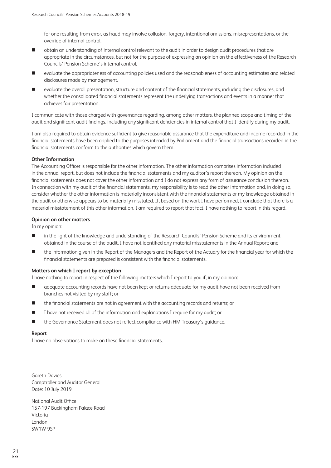for one resulting from error, as fraud may involve collusion, forgery, intentional omissions, misrepresentations, or the override of internal control.

- n obtain an understanding of internal control relevant to the audit in order to design audit procedures that are appropriate in the circumstances, but not for the purpose of expressing an opinion on the effectiveness of the Research Councils' Pension Scheme's internal control.
- n evaluate the appropriateness of accounting policies used and the reasonableness of accounting estimates and related disclosures made by management.
- evaluate the overall presentation, structure and content of the financial statements, including the disclosures, and whether the consolidated financial statements represent the underlying transactions and events in a manner that achieves fair presentation.

I communicate with those charged with governance regarding, among other matters, the planned scope and timing of the audit and significant audit findings, including any significant deficiencies in internal control that I identify during my audit.

I am also required to obtain evidence sufficient to give reasonable assurance that the expenditure and income recorded in the financial statements have been applied to the purposes intended by Parliament and the financial transactions recorded in the financial statements conform to the authorities which govern them.

### **Other Information**

The Accounting Officer is responsible for the other information. The other information comprises information included in the annual report, but does not include the financial statements and my auditor's report thereon. My opinion on the financial statements does not cover the other information and I do not express any form of assurance conclusion thereon. In connection with my audit of the financial statements, my responsibility is to read the other information and, in doing so, consider whether the other information is materially inconsistent with the financial statements or my knowledge obtained in the audit or otherwise appears to be materially misstated. If, based on the work I have performed, I conclude that there is a material misstatement of this other information, I am required to report that fact. I have nothing to report in this regard.

### **Opinion on other matters**

In my opinion:

- n in the light of the knowledge and understanding of the Research Councils' Pension Scheme and its environment obtained in the course of the audit, I have not identified any material misstatements in the Annual Report; and
- n the information given in the Report of the Managers and the Report of the Actuary for the financial year for which the financial statements are prepared is consistent with the financial statements.

### **Matters on which I report by exception**

I have nothing to report in respect of the following matters which I report to you if, in my opinion:

- n adequate accounting records have not been kept or returns adequate for my audit have not been received from branches not visited by my staff; or
- the financial statements are not in agreement with the accounting records and returns; or
- I have not received all of the information and explanations I require for my audit; or
- the Governance Statement does not reflect compliance with HM Treasury's guidance.

### **Report**

I have no observations to make on these financial statements.

Gareth Davies Comptroller and Auditor General Date: 10 July 2019

National Audit Office 157-197 Buckingham Palace Road Victoria London SW1W 9SP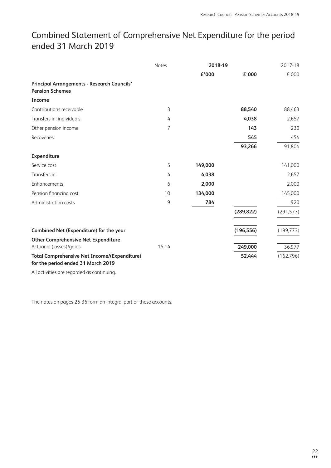# Combined Statement of Comprehensive Net Expenditure for the period ended 31 March 2019

|                                                                                           | <b>Notes</b>   | 2018-19 |            | 2017-18    |
|-------------------------------------------------------------------------------------------|----------------|---------|------------|------------|
|                                                                                           |                | £'000   | £'000      | £'000      |
| <b>Principal Arrangements - Research Councils'</b><br><b>Pension Schemes</b>              |                |         |            |            |
| Income                                                                                    |                |         |            |            |
| Contributions receivable                                                                  | 3              |         | 88,540     | 88,463     |
| Transfers in: individuals                                                                 | 4              |         | 4,038      | 2,657      |
| Other pension income                                                                      | $\overline{7}$ |         | 143        | 230        |
| Recoveries                                                                                |                |         | 545        | 454        |
|                                                                                           |                |         | 93,266     | 91,804     |
| Expenditure                                                                               |                |         |            |            |
| Service cost                                                                              | 5              | 149,000 |            | 141,000    |
| Transfers in                                                                              | 4              | 4,038   |            | 2,657      |
| Enhancements                                                                              | 6              | 2,000   |            | 2,000      |
| Pension financing cost                                                                    | 10             | 134,000 |            | 145,000    |
| Administration costs                                                                      | 9              | 784     |            | 920        |
|                                                                                           |                |         | (289, 822) | (291, 577) |
| Combined Net (Expenditure) for the year                                                   |                |         | (196, 556) | (199, 773) |
| <b>Other Comprehensive Net Expenditure</b>                                                |                |         |            |            |
| Actuarial (losses)/gains                                                                  | 15.14          |         | 249,000    | 36,977     |
| <b>Total Comprehensive Net Income/(Expenditure)</b><br>for the period ended 31 March 2019 |                |         | 52,444     | (162, 796) |

All activities are regarded as continuing.

The notes on pages 26-36 form an integral part of these accounts.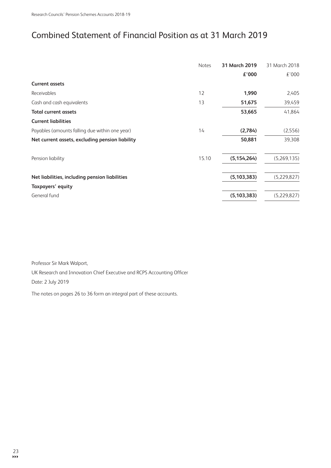# Combined Statement of Financial Position as at 31 March 2019

| <b>Notes</b> | 31 March 2019 | 31 March 2018 |
|--------------|---------------|---------------|
|              | £'000         | £'000         |
|              |               |               |
| 12           | 1,990         | 2,405         |
| 13           | 51,675        | 39,459        |
|              | 53,665        | 41,864        |
|              |               |               |
| 14           | (2,784)       | (2,556)       |
|              | 50,881        | 39,308        |
| 15.10        | (5, 154, 264) | (5,269,135)   |
|              | (5, 103, 383) | (5,229,827)   |
|              |               |               |
|              | (5, 103, 383) | (5,229,827)   |
|              |               |               |

Professor Sir Mark Walport,

UK Research and Innovation Chief Executive and RCPS Accounting Officer Date: 2 July 2019

The notes on pages 26 to 36 form an integral part of these accounts.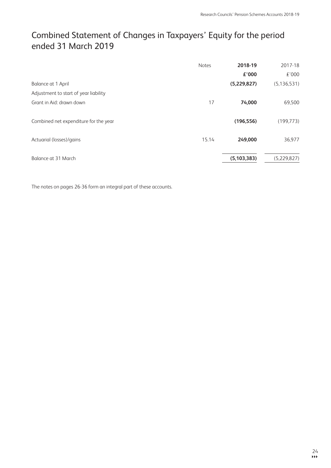# Combined Statement of Changes in Taxpayers' Equity for the period ended 31 March 2019

|                                       | <b>Notes</b> | 2018-19       | 2017-18       |
|---------------------------------------|--------------|---------------|---------------|
|                                       |              | £'000         | £'000         |
| Balance at 1 April                    |              | (5,229,827)   | (5, 136, 531) |
| Adjustment to start of year liability |              |               |               |
| Grant in Aid: drawn down              | 17           | 74,000        | 69,500        |
| Combined net expenditure for the year |              | (196, 556)    | (199, 773)    |
| Actuarial (losses)/gains              | 15.14        | 249,000       | 36,977        |
| Balance at 31 March                   |              | (5, 103, 383) | (5,229,827)   |

The notes on pages 26-36 form an integral part of these accounts.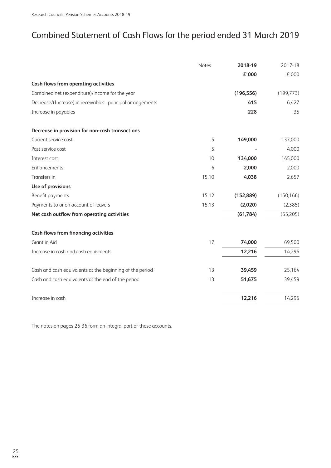# Combined Statement of Cash Flows for the period ended 31 March 2019

|                                                             | Notes | 2018-19    | 2017-18    |
|-------------------------------------------------------------|-------|------------|------------|
|                                                             |       | £'000      | £'000      |
| <b>Cash flows from operating activities</b>                 |       |            |            |
| Combined net (expenditure)/income for the year              |       | (196, 556) | (199, 773) |
| Decrease/(Increase) in receivables - principal arrangements |       | 415        | 6,427      |
| Increase in payables                                        |       | 228        | 35         |
| Decrease in provision for non-cash transactions             |       |            |            |
| Current service cost                                        | 5     | 149,000    | 137,000    |
| Past service cost                                           | 5     |            | 4,000      |
| Interest cost                                               | 10    | 134,000    | 145,000    |
| Enhancements                                                | 6     | 2,000      | 2,000      |
| Transfers in                                                | 15.10 | 4,038      | 2,657      |
| Use of provisions                                           |       |            |            |
| Benefit payments                                            | 15.12 | (152, 889) | (150, 166) |
| Payments to or on account of leavers                        | 15.13 | (2,020)    | (2,385)    |
| Net cash outflow from operating activities                  |       | (61, 784)  | (55,205)   |
| <b>Cash flows from financing activities</b>                 |       |            |            |
| Grant in Aid                                                | 17    | 74,000     | 69,500     |
| Increase in cash and cash equivalents                       |       | 12,216     | 14,295     |
| Cash and cash equivalents at the beginning of the period    | 13    | 39,459     | 25,164     |
| Cash and cash equivalents at the end of the period          | 13    | 51,675     | 39,459     |
| Increase in cash                                            |       | 12,216     | 14,295     |

The notes on pages 26-36 form an integral part of these accounts.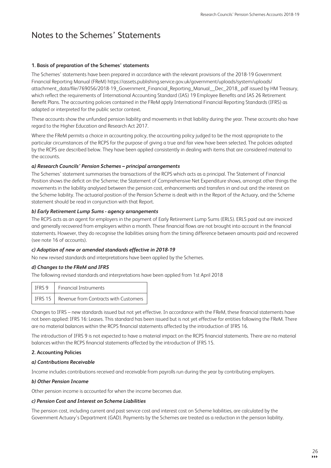# Notes to the Schemes' Statements

### **1. Basis of preparation of the Schemes' statements**

The Schemes' statements have been prepared in accordance with the relevant provisions of the 2018-19 Government Financial Reporting Manual (FReM) [https://assets.publishing.service.gov.uk/government/uploads/system/uploads/](https://assets.publishing.service.gov.uk/government/uploads/system/uploads/attachment_data/file/769056/2018-19_Government_Financial_Reporting_Manual__Dec_2018_.pdf) [attachment\\_data/file/769056/2018-19\\_Government\\_Financial\\_Reporting\\_Manual\\_\\_Dec\\_2018\\_.pdf](https://assets.publishing.service.gov.uk/government/uploads/system/uploads/attachment_data/file/769056/2018-19_Government_Financial_Reporting_Manual__Dec_2018_.pdf) issued by HM Treasury, which reflect the requirements of International Accounting Standard (IAS) 19 Employee Benefits and IAS 26 Retirement Benefit Plans. The accounting policies contained in the FReM apply International Financial Reporting Standards (IFRS) as adapted or interpreted for the public sector context.

These accounts show the unfunded pension liability and movements in that liability during the year. These accounts also have regard to the Higher Education and Research Act 2017.

Where the FReM permits a choice in accounting policy, the accounting policy judged to be the most appropriate to the particular circumstances of the RCPS for the purpose of giving a true and fair view have been selected. The policies adopted by the RCPS are described below. They have been applied consistently in dealing with items that are considered material to the accounts.

### *a) Research Councils' Pension Schemes – principal arrangements*

The Schemes' statement summarises the transactions of the RCPS which acts as a principal. The Statement of Financial Position shows the deficit on the Scheme; the Statement of Comprehensive Net Expenditure shows, amongst other things the movements in the liability analysed between the pension cost, enhancements and transfers in and out and the interest on the Scheme liability. The actuarial position of the Pension Scheme is dealt with in the Report of the Actuary, and the Scheme statement should be read in conjunction with that Report.

### *b) Early Retirement Lump Sums - agency arrangements*

The RCPS acts as an agent for employers in the payment of Early Retirement Lump Sums (ERLS). ERLS paid out are invoiced and generally recovered from employers within a month. These financial flows are not brought into account in the financial statements. However, they do recognise the liabilities arising from the timing difference between amounts paid and recovered (see note 16 of accounts).

### *c) Adoption of new or amended standards effective in 2018-19*

No new revised standards and interpretations have been applied by the Schemes.

# *d) Changes to the FReM and IFRS*

The following revised standards and interpretations have been applied from 1st April 2018

|  | IFRS 9   Financial Instruments                  |
|--|-------------------------------------------------|
|  | IFRS 15   Revenue from Contracts with Customers |

Changes to IFRS – new standards issued but not yet effective. In accordance with the FReM, these financial statements have not been applied: IFRS 16: Leases. This standard has been issued but is not yet effective for entities following the FReM. There are no material balances within the RCPS financial statements affected by the introduction of IFRS 16.

The introduction of IFRS 9 is not expected to have a material impact on the RCPS financial statements. There are no material balances within the RCPS financial statements affected by the introduction of IFRS 15.

### **2. Accounting Policies**

### *a) Contributions Receivable*

Income includes contributions received and receivable from payrolls run during the year by contributing employers.

### *b) Other Pension Income*

Other pension income is accounted for when the income becomes due.

### *c) Pension Cost and Interest on Scheme Liabilities*

The pension cost, including current and past service cost and interest cost on Scheme liabilities, are calculated by the Government Actuary's Department (GAD). Payments by the Schemes are treated as a reduction in the pension liability.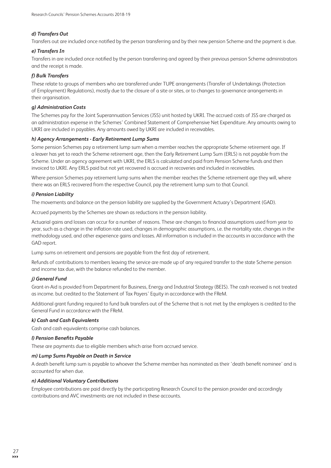### *d) Transfers Out*

Transfers out are included once notified by the person transferring and by their new pension Scheme and the payment is due.

### *e) Transfers In*

Transfers in are included once notified by the person transferring and agreed by their previous pension Scheme administrators and the receipt is made.

### *f) Bulk Transfers*

These relate to groups of members who are transferred under TUPE arrangements (Transfer of Undertakings (Protection of Employment) Regulations), mostly due to the closure of a site or sites, or to changes to governance arrangements in their organisation.

### *g) Administration Costs*

The Schemes pay for the Joint Superannuation Services (JSS) unit hosted by UKRI. The accrued costs of JSS are charged as an administration expense in the Schemes' Combined Statement of Comprehensive Net Expenditure. Any amounts owing to UKRI are included in payables. Any amounts owed by UKRI are included in receivables.

### *h) Agency Arrangements - Early Retirement Lump Sums*

Some pension Schemes pay a retirement lump sum when a member reaches the appropriate Scheme retirement age. If a leaver has yet to reach the Scheme retirement age, then the Early Retirement Lump Sum (ERLS) is not payable from the Scheme. Under an agency agreement with UKRI, the ERLS is calculated and paid from Pension Scheme funds and then invoiced to UKRI. Any ERLS paid but not yet recovered is accrued in recoveries and included in receivables.

Where pension Schemes pay retirement lump sums when the member reaches the Scheme retirement age they will, where there was an ERLS recovered from the respective Council, pay the retirement lump sum to that Council.

### *i) Pension Liability*

The movements and balance on the pension liability are supplied by the Government Actuary's Department (GAD).

Accrued payments by the Schemes are shown as reductions in the pension liability.

Actuarial gains and losses can occur for a number of reasons. These are changes to financial assumptions used from year to year, such as a change in the inflation rate used, changes in demographic assumptions, i.e. the mortality rate, changes in the methodology used, and other experience gains and losses. All information is included in the accounts in accordance with the GAD report.

Lump sums on retirement and pensions are payable from the first day of retirement.

Refunds of contributions to members leaving the service are made up of any required transfer to the state Scheme pension and income tax due, with the balance refunded to the member.

### *j) General Fund*

Grant-in-Aid is provided from Department for Business, Energy and Industrial Strategy (BEIS). The cash received is not treated as income. but credited to the Statement of Tax Payers' Equity in accordance with the FReM.

Additional grant funding required to fund bulk transfers out of the Scheme that is not met by the employers is credited to the General Fund in accordance with the FReM.

### *k) Cash and Cash Equivalents*

Cash and cash equivalents comprise cash balances.

#### *l) Pension Benefits Payable*

These are payments due to eligible members which arise from accrued service.

### *m) Lump Sums Payable on Death in Service*

A death benefit lump sum is payable to whoever the Scheme member has nominated as their 'death benefit nominee' and is accounted for when due.

### *n) Additional Voluntary Contributions*

Employee contributions are paid directly by the participating Research Council to the pension provider and accordingly contributions and AVC investments are not included in these accounts.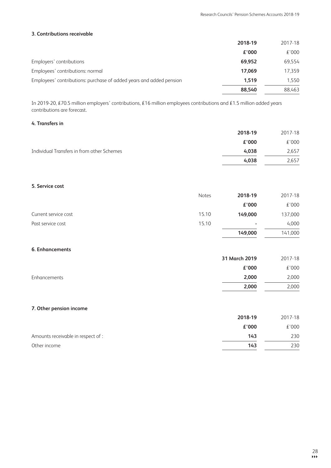# 3. Contributions receivable

|                                                                              | 2018-19 | 2017-18 |
|------------------------------------------------------------------------------|---------|---------|
|                                                                              | £'000   | £'000   |
| Employers' contributions                                                     | 69.952  | 69,554  |
| Employees' contributions: normal                                             | 17.069  | 17.359  |
| Employees' contributions: purchase of added years and added pension<br>1,519 |         | 1,550   |
|                                                                              | 88.540  | 88.463  |

In 2019-20, £70.5 million employers' contributions, £16 million employees contributions and £1.5 million added years contributions are forecast.

### 4. Transfers in

|                                            | 2018-19 | 2017-18 |
|--------------------------------------------|---------|---------|
|                                            | £'000   | £'000   |
| Individual Transfers in from other Schemes | 4.038   | 2,657   |
|                                            | 4.038   | 2.657   |

### 5. Service cost

|                      | <b>Notes</b> | 2018-19                  | 2017-18 |
|----------------------|--------------|--------------------------|---------|
|                      |              | £'000                    | £'000   |
| Current service cost | 15.10        | 149,000                  | 137,000 |
| Past service cost    | 15.10        | $\overline{\phantom{a}}$ | 4,000   |
|                      |              | 149,000                  | 141,000 |

# 6. Enhancements

|              | 31 March 2019 | 2017-18 |
|--------------|---------------|---------|
|              | £'000         | £'000   |
| Enhancements | 2,000         | 2,000   |
|              | 2,000         | 2,000   |

# 7. Other pension income

| 2018-19 | 2017-18 |
|---------|---------|
| £'000   | £'000   |
| 143     | 230     |
| 143     | 230     |
|         |         |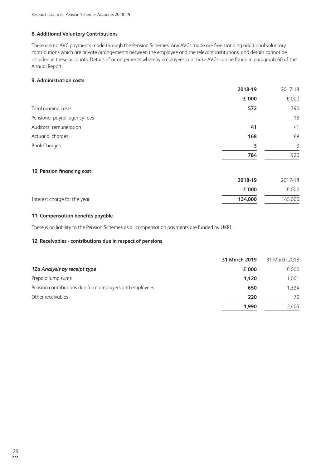# 8. Additional Voluntary Contributions

There are no AVC payments made through the Pension Schemes. Any AVCs made are free standing additional voluntary contributions which are private arrangements between the employee and the relevant institutions, and details cannot be included in these accounts. Details of arrangements whereby employees can make AVCs can be found in paragraph 40 of the Annual Report.

### 9. Administration costs

|                               | 2018-19                  | 2017-18 |
|-------------------------------|--------------------------|---------|
|                               | £'000                    | £'000   |
| Total running costs           | 572                      | 790     |
| Pensioner payroll agency fees | $\overline{\phantom{a}}$ | 18      |
| Auditors' remuneration        | 41                       | 41      |
| Actuarial charges             | 168                      | 68      |
| <b>Bank Charges</b>           | 3                        | 3       |
|                               | 784                      | 920     |
|                               |                          |         |

### 10. Pension financing cost

| 2018-19 | 2017-18 |
|---------|---------|
| £'000   | £'000   |
| 134,000 | 145,000 |
|         |         |

### 11. Compensation benefits payable

There is no liability to the Pension Schemes as all compensation payments are funded by UKRI.

### 12. Receivables - contributions due in respect of pensions

|                                                        | 31 March 2019 | 31 March 2018 |
|--------------------------------------------------------|---------------|---------------|
| 12a Analysis by receipt type                           | £'000         | £'000         |
| Prepaid lump sums                                      | 1.120         | 1.001         |
| Pension contributions due from employers and employees | 650           | 1,334         |
| Other receivables                                      | 220           | 70            |
|                                                        | 1.990         | 2.405         |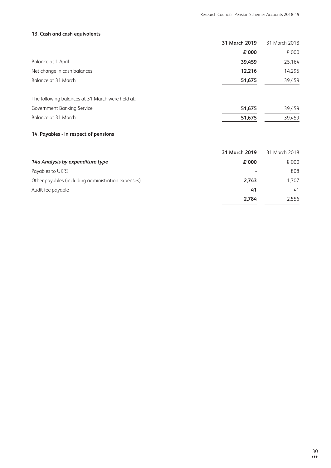51,675

39,459

# 13. Cash and cash equivalents

|                                                  | 31 March 2019 | 31 March 2018 |
|--------------------------------------------------|---------------|---------------|
|                                                  | £'000         | £'000         |
| Balance at 1 April                               | 39,459        | 25,164        |
| Net change in cash balances                      | 12,216        | 14,295        |
| Balance at 31 March                              | 51,675        | 39,459        |
| The following balances at 31 March were held at: |               |               |
| Government Banking Service                       | 51,675        | 39,459        |

# 14. Payables - in respect of pensions

Balance at 31 March

| 31 March 2019 | 31 March 2018 |
|---------------|---------------|
| £'000         | £'000         |
| ٠             | 808           |
| 2,743         | 1.707         |
| 41            | 41            |
| 2.784         | 2,556         |
|               |               |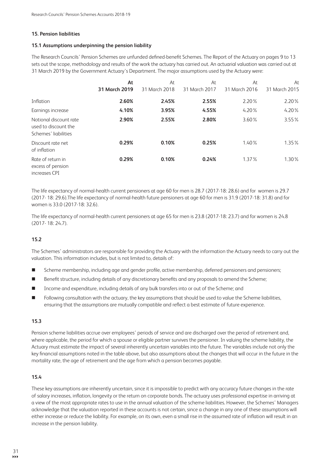### **15. Pension liabilities**

### 15.1 Assumptions underpinning the pension liability

The Research Councils' Pension Schemes are unfunded defined-benefit Schemes. The Report of the Actuary on pages 9 to 13 sets out the scope, methodology and results of the work the actuary has carried out. An actuarial valuation was carried out at 31 March 2019 by the Government Actuary's Department. The major assumptions used by the Actuary were:

|                                                                        | At            | At            | At            | At            | At            |
|------------------------------------------------------------------------|---------------|---------------|---------------|---------------|---------------|
|                                                                        | 31 March 2019 | 31 March 2018 | 31 March 2017 | 31 March 2016 | 31 March 2015 |
| Inflation                                                              | 2.60%         | 2.45%         | 2.55%         | 2.20%         | 2.20%         |
| Earnings increase                                                      | 4.10%         | 3.95%         | 4.55%         | 4.20%         | 4.20%         |
| Notional discount rate<br>used to discount the<br>Schemes' liabilities | 2.90%         | 2.55%         | 2.80%         | 3.60%         | 3.55%         |
| Discount rate net<br>of inflation                                      | 0.29%         | 0.10%         | 0.25%         | 1.40%         | 1.35%         |
| Rate of return in<br>excess of pension<br>increases CPI                | 0.29%         | 0.10%         | 0.24%         | 1.37%         | 1.30%         |

The life expectancy of normal-health current pensioners at age 60 for men is 28.7 (2017-18: 28.6) and for women is 29.7 (2017-18: 29.6). The life expectancy of normal-health future pensioners at age 60 for men is 31.9 (2017-18: 31.8) and for women is 33.0 (2017-18: 32.6).

The life expectancy of normal-health current pensioners at age 65 for men is 23.8 (2017-18: 23.7) and for women is 24.8  $(2017 - 18:24.7)$ .

# $15.2$

The Schemes' administrators are responsible for providing the Actuary with the information the Actuary needs to carry out the valuation. This information includes, but is not limited to, details of:

- Scheme membership, including age and gender profile, active membership, deferred pensioners and pensioners; ٠
- $\blacksquare$ Benefit structure, including details of any discretionary benefits and any proposals to amend the Scheme;
- Income and expenditure, including details of any bulk transfers into or out of the Scheme; and п
- $\blacksquare$ Following consultation with the actuary, the key assumptions that should be used to value the Scheme liabilities, ensuring that the assumptions are mutually compatible and reflect a best estimate of future experience.

### 15.3

Pension scheme liabilities accrue over employees' periods of service and are discharged over the period of retirement and, where applicable, the period for which a spouse or eligible partner survives the pensioner. In valuing the scheme liability, the Actuary must estimate the impact of several inherently uncertain variables into the future. The variables include not only the key financial assumptions noted in the table above, but also assumptions about the changes that will occur in the future in the mortality rate, the age of retirement and the age from which a pension becomes payable.

### 15.4

These key assumptions are inherently uncertain, since it is impossible to predict with any accuracy future changes in the rate of salary increases, inflation, longevity or the return on corporate bonds. The actuary uses professional expertise in arriving at a view of the most appropriate rates to use in the annual valuation of the scheme liabilities. However, the Schemes' Managers acknowledge that the valuation reported in these accounts is not certain, since a change in any one of these assumptions will either increase or reduce the liability. For example, on its own, even a small rise in the assumed rate of inflation will result in an increase in the pension liability.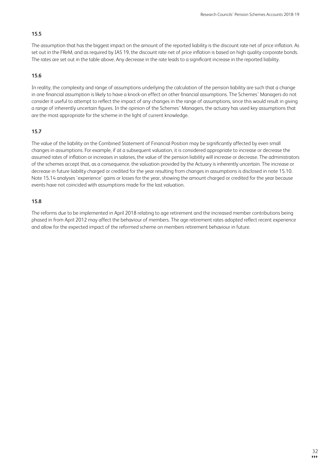# 15.5

The assumption that has the biggest impact on the amount of the reported liability is the discount rate net of price inflation. As set out in the FReM, and as required by IAS 19, the discount rate net of price inflation is based on high quality corporate bonds. The rates are set out in the table above. Any decrease in the rate leads to a significant increase in the reported liability.

### 15.6

In reality, the complexity and range of assumptions underlying the calculation of the pension liability are such that a change in one financial assumption is likely to have a knock-on effect on other financial assumptions. The Schemes' Managers do not consider it useful to attempt to reflect the impact of any changes in the range of assumptions, since this would result in giving a range of inherently uncertain figures. In the opinion of the Schemes' Managers, the actuary has used key assumptions that are the most appropriate for the scheme in the light of current knowledge.

# $15.7$

The value of the liability on the Combined Statement of Financial Position may be significantly affected by even small changes in assumptions. For example, if at a subsequent valuation, it is considered appropriate to increase or decrease the assumed rates of inflation or increases in salaries, the value of the pension liability will increase or decrease. The administrators of the schemes accept that, as a consequence, the valuation provided by the Actuary is inherently uncertain. The increase or decrease in future liability charged or credited for the year resulting from changes in assumptions is disclosed in note 15.10. Note 15.14 analyses 'experience' gains or losses for the year, showing the amount charged or credited for the year because events have not coincided with assumptions made for the last valuation.

### 15.8

The reforms due to be implemented in April 2018 relating to age retirement and the increased member contributions being phased in from April 2012 may affect the behaviour of members. The age retirement rates adopted reflect recent experience and allow for the expected impact of the reformed scheme on members retirement behaviour in future.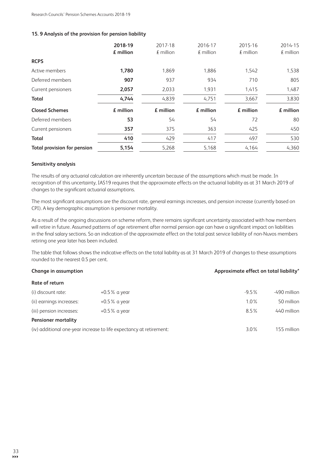### 15.9 Analysis of the provision for pension liability

|                                    | 2018-19<br>£ million | 2017-18<br>$E$ million | 2016-17<br>$E$ million | 2015-16<br>$E$ million | 2014-15<br>$E$ million |
|------------------------------------|----------------------|------------------------|------------------------|------------------------|------------------------|
| <b>RCPS</b>                        |                      |                        |                        |                        |                        |
| Active members                     | 1,780                | 1,869                  | 1,886                  | 1,542                  | 1,538                  |
| Deferred members                   | 907                  | 937                    | 934                    | 710                    | 805                    |
| Current pensioners                 | 2,057                | 2,033                  | 1,931                  | 1,415                  | 1,487                  |
| <b>Total</b>                       | 4,744                | 4,839                  | 4,751                  | 3,667                  | 3,830                  |
| <b>Closed Schemes</b>              | £ million            | £ million              | £ million              | £ million              | £ million              |
| Deferred members                   | 53                   | 54                     | 54                     | 72                     | 80                     |
| Current pensioners                 | 357                  | 375                    | 363                    | 425                    | 450                    |
| <b>Total</b>                       | 410                  | 429                    | 417                    | 497                    | 530                    |
| <b>Total provision for pension</b> | 5,154                | 5,268                  | 5,168                  | 4,164                  | 4,360                  |

### Sensitivity analysis

The results of any actuarial calculation are inherently uncertain because of the assumptions which must be made. In recognition of this uncertainty, IAS19 requires that the approximate effects on the actuarial liability as at 31 March 2019 of changes to the significant actuarial assumptions.

The most significant assumptions are the discount rate, general earnings increases, and pension increase (currently based on CPI). A key demographic assumption is pensioner mortality.

As a result of the ongoing discussions on scheme reform, there remains significant uncertainty associated with how members will retire in future. Assumed patterns of age retirement after normal pension age can have a significant impact on liabilities in the final salary sections. So an indication of the approximate effect on the total past service liability of non-Nuvos members retiring one year later has been included.

The table that follows shows the indicative effects on the total liability as at 31 March 2019 of changes to these assumptions rounded to the nearest 0.5 per cent.

| Change in assumption       |                                                                     | Approximate effect on total liability* |              |  |
|----------------------------|---------------------------------------------------------------------|----------------------------------------|--------------|--|
| Rate of return             |                                                                     |                                        |              |  |
| (i) discount rate:         | $+0.5\%$ a year                                                     | $-9.5%$                                | -490 million |  |
| (ii) earnings increases:   | $+0.5\%$ a year                                                     | $1.0\%$                                | 50 million   |  |
| (iii) pension increases:   | $+0.5\%$ a year                                                     | 8.5%                                   | 440 million  |  |
| <b>Pensioner mortality</b> |                                                                     |                                        |              |  |
|                            | (iv) additional one-year increase to life expectancy at retirement: |                                        | 155 million  |  |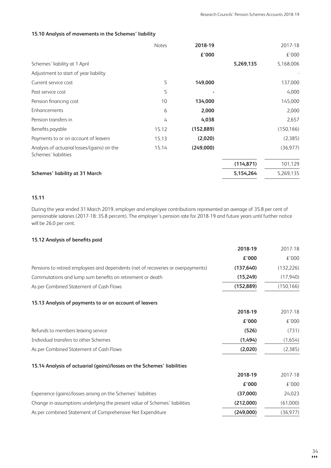### 15.10 Analysis of movements in the Schemes' liability

|                                                                     | <b>Notes</b> | 2018-19    |            | 2017-18    |
|---------------------------------------------------------------------|--------------|------------|------------|------------|
|                                                                     |              | £'000      |            | £'000      |
| Schemes' liability at 1 April                                       |              |            | 5,269,135  | 5,168,006  |
| Adjustment to start of year liability                               |              |            |            |            |
| Current service cost                                                | 5            | 149,000    |            | 137,000    |
| Past service cost                                                   | 5            |            |            | 4,000      |
| Pension financing cost                                              | 10           | 134,000    |            | 145,000    |
| Enhancements                                                        | 6            | 2,000      |            | 2,000      |
| Pension transfers in                                                | 4            | 4,038      |            | 2,657      |
| Benefits payable                                                    | 15.12        | (152, 889) |            | (150, 166) |
| Payments to or on account of leavers                                | 15.13        | (2,020)    |            | (2,385)    |
| Analysis of actuarial losses/(gains) on the<br>Schemes' liabilities | 15.14        | (249,000)  |            | (36, 977)  |
|                                                                     |              |            | (114, 871) | 101,129    |
| <b>Schemes' liability at 31 March</b>                               |              |            | 5,154,264  | 5,269,135  |

# 15.11

During the year ended 31 March 2019, employer and employee contributions represented an average of 35.8 per cent of pensionable salaries (2017-18: 35.8 percent). The employer's pension rate for 2018-19 and future years until further notice will be 26.0 per cent.

### 15.12 Analysis of benefits paid

|                                                                                  | 2018-19    | 2017-18    |
|----------------------------------------------------------------------------------|------------|------------|
|                                                                                  | £'000      | £'000      |
| Pensions to retired employees and dependents (net of recoveries or overpayments) | (137, 640) | (132, 226) |
| Commutations and lump sum benefits on retirement or death                        | (15, 249)  | (17, 940)  |
| As per Combined Statement of Cash Flows                                          | (152, 889) | (150, 166) |
| 15.13 Analysis of payments to or on account of leavers                           |            |            |
|                                                                                  | 2018-19    | 2017-18    |
|                                                                                  | £'000      | £'000      |
| Refunds to members leaving service                                               | (526)      | (731)      |
| Individual transfers to other Schemes                                            | (1,494)    | (1,654)    |
| As per Combined Statement of Cash Flows                                          | (2,020)    | (2,385)    |
| 15.14 Analysis of actuarial (gains)/losses on the Schemes' liabilities           |            |            |
|                                                                                  | 2018-19    | 2017-18    |
|                                                                                  | £'000      | £'000      |
| Experience (gains)/losses arising on the Schemes' liabilities                    | (37,000)   | 24,023     |
| Change in assumptions underlying the present value of Schemes' liabilities       | (212,000)  | (61,000)   |
| As per combined Statement of Comprehensive Net Expenditure                       | (249,000)  | (36, 977)  |
|                                                                                  |            |            |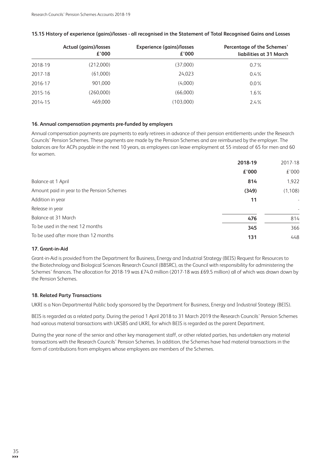|         | <b>Actual (gains)/losses</b><br>£'000 | <b>Experience (gains)/losses</b><br>£'000 | <b>Percentage of the Schemes'</b><br>liabilities at 31 March |
|---------|---------------------------------------|-------------------------------------------|--------------------------------------------------------------|
| 2018-19 | (212,000)                             | (37,000)                                  | $0.7\%$                                                      |
| 2017-18 | (61,000)                              | 24.023                                    | $0.4\%$                                                      |
| 2016-17 | 901,000                               | (4.000)                                   | $0.0\%$                                                      |
| 2015-16 | (260,000)                             | (66,000)                                  | $1.6\%$                                                      |
| 2014-15 | 469,000                               | (103,000)                                 | $2.4\%$                                                      |
|         |                                       |                                           |                                                              |

### 15.15 History of experience (gains)/losses - all recognised in the Statement of Total Recognised Gains and Losses

### 16. Annual compensation payments pre-funded by employers

Annual compensation payments are payments to early retirees in advance of their pension entitlements under the Research Councils' Pension Schemes. These payments are made by the Pension Schemes and are reimbursed by the employer. The balances are for ACPs payable in the next 10 years, as employees can leave employment at 55 instead of 65 for men and 60 for women.

|                                            | 2018-19 | 2017-18  |
|--------------------------------------------|---------|----------|
|                                            | £'000   | £'000    |
| Balance at 1 April                         | 814     | 1,922    |
| Amount paid in year to the Pension Schemes | (349)   | (1, 108) |
| Addition in year                           | 11      |          |
| Release in year                            |         |          |
| Balance at 31 March                        | 476     | 814      |
| To be used in the next 12 months           | 345     | 366      |
| To be used after more than 12 months       | 131     | 448      |

### 17 Grant-in-Aid

Grant-in-Aid is provided from the Department for Business, Energy and Industrial Strategy (BEIS) Request for Resources to the Biotechnology and Biological Sciences Research Council (BBSRC), as the Council with responsibility for administering the Schemes' finances. The allocation for 2018-19 was £74.0 million (2017-18 was £69.5 million) all of which was drawn down by the Pension Schemes.

### **18. Related Party Transactions**

UKRI is a Non-Departmental Public body sponsored by the Department for Business, Energy and Industrial Strategy (BEIS).

BEIS is regarded as a related party. During the period 1 April 2018 to 31 March 2019 the Research Councils' Pension Schemes had various material transactions with UKSBS and UKRI, for which BEIS is regarded as the parent Department.

During the year none of the senior and other key management staff, or other related parties, has undertaken any material transactions with the Research Councils' Pension Schemes. In addition, the Schemes have had material transactions in the form of contributions from employers whose employees are members of the Schemes.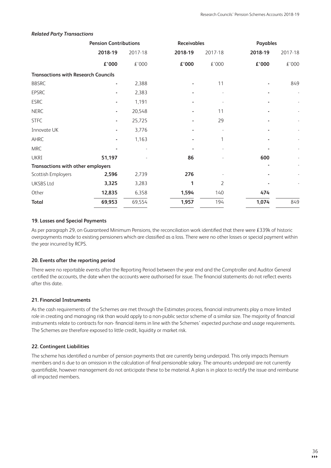|                                            | <b>Pension Contributions</b> |         | <b>Receivables</b> |         |         | Payables |  |
|--------------------------------------------|------------------------------|---------|--------------------|---------|---------|----------|--|
|                                            | 2018-19                      | 2017-18 | 2018-19            | 2017-18 | 2018-19 | 2017-18  |  |
|                                            | £'000                        | £'000   | £'000              | £'000   | £'000   | £'000    |  |
| <b>Transactions with Research Councils</b> |                              |         |                    |         |         |          |  |
| <b>BBSRC</b>                               |                              | 2,388   |                    | 11      |         | 849      |  |
| <b>EPSRC</b>                               |                              | 2,383   |                    |         |         |          |  |
| <b>ESRC</b>                                |                              | 1,191   |                    |         |         |          |  |
| <b>NERC</b>                                |                              | 20,548  |                    | 11      |         |          |  |
| <b>STFC</b>                                |                              | 25,725  |                    | 29      |         |          |  |
| Innovate UK                                |                              | 3,776   |                    |         |         |          |  |
| AHRC                                       |                              | 1,163   |                    |         |         |          |  |
| <b>MRC</b>                                 |                              |         |                    |         |         |          |  |
| <b>UKRI</b>                                | 51,197                       |         | 86                 |         | 600     |          |  |
| <b>Transactions with other employers</b>   |                              |         |                    |         |         |          |  |
| Scottish Employers                         | 2,596                        | 2,739   | 276                |         |         |          |  |
| <b>UKSBS Ltd</b>                           | 3,325                        | 3,283   | 1                  | 2       |         |          |  |
| Other                                      | 12,835                       | 6,358   | 1,594              | 140     | 474     |          |  |
| <b>Total</b>                               | 69,953                       | 69,554  | 1,957              | 194     | 1,074   | 849      |  |
|                                            |                              |         |                    |         |         |          |  |

#### **Related Party Transactions**

### 19. Losses and Special Payments

As per paragraph 29, on Guaranteed Minimum Pensions, the reconciliation work identified that there were £339k of historic overpayments made to existing pensioners which are classified as a loss. There were no other losses or special payment within the year incurred by RCPS.

#### 20. Events after the reporting period

There were no reportable events after the Reporting Period between the year end and the Comptroller and Auditor General certified the accounts, the date when the accounts were authorised for issue. The financial statements do not reflect events after this date.

#### 21. Financial Instruments

As the cash requirements of the Schemes are met through the Estimates process, financial instruments play a more limited role in creating and managing risk than would apply to a non-public sector scheme of a similar size. The majority of financial instruments relate to contracts for non-financial items in line with the Schemes' expected purchase and usage requirements. The Schemes are therefore exposed to little credit, liquidity or market risk.

### 22. Contingent Liabilities

The scheme has identified a number of pension payments that are currently being underpaid. This only impacts Premium members and is due to an omission in the calculation of final pensionable salary. The amounts underpaid are not currently quantifiable, however management do not anticipate these to be material. A plan is in place to rectify the issue and reimburse all impacted members.